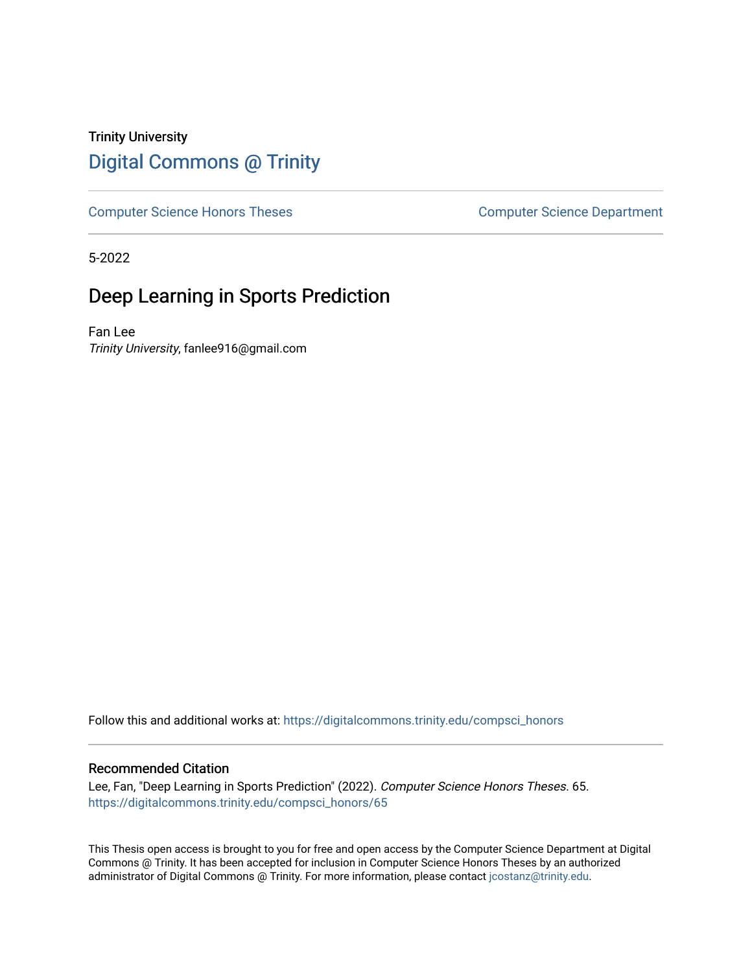## Trinity University [Digital Commons @ Trinity](https://digitalcommons.trinity.edu/)

[Computer Science Honors Theses](https://digitalcommons.trinity.edu/compsci_honors) Computer Science Department

5-2022

# Deep Learning in Sports Prediction

Fan Lee Trinity University, fanlee916@gmail.com

Follow this and additional works at: [https://digitalcommons.trinity.edu/compsci\\_honors](https://digitalcommons.trinity.edu/compsci_honors?utm_source=digitalcommons.trinity.edu%2Fcompsci_honors%2F65&utm_medium=PDF&utm_campaign=PDFCoverPages)

#### Recommended Citation

Lee, Fan, "Deep Learning in Sports Prediction" (2022). Computer Science Honors Theses. 65. [https://digitalcommons.trinity.edu/compsci\\_honors/65](https://digitalcommons.trinity.edu/compsci_honors/65?utm_source=digitalcommons.trinity.edu%2Fcompsci_honors%2F65&utm_medium=PDF&utm_campaign=PDFCoverPages) 

This Thesis open access is brought to you for free and open access by the Computer Science Department at Digital Commons @ Trinity. It has been accepted for inclusion in Computer Science Honors Theses by an authorized administrator of Digital Commons @ Trinity. For more information, please contact [jcostanz@trinity.edu.](mailto:jcostanz@trinity.edu)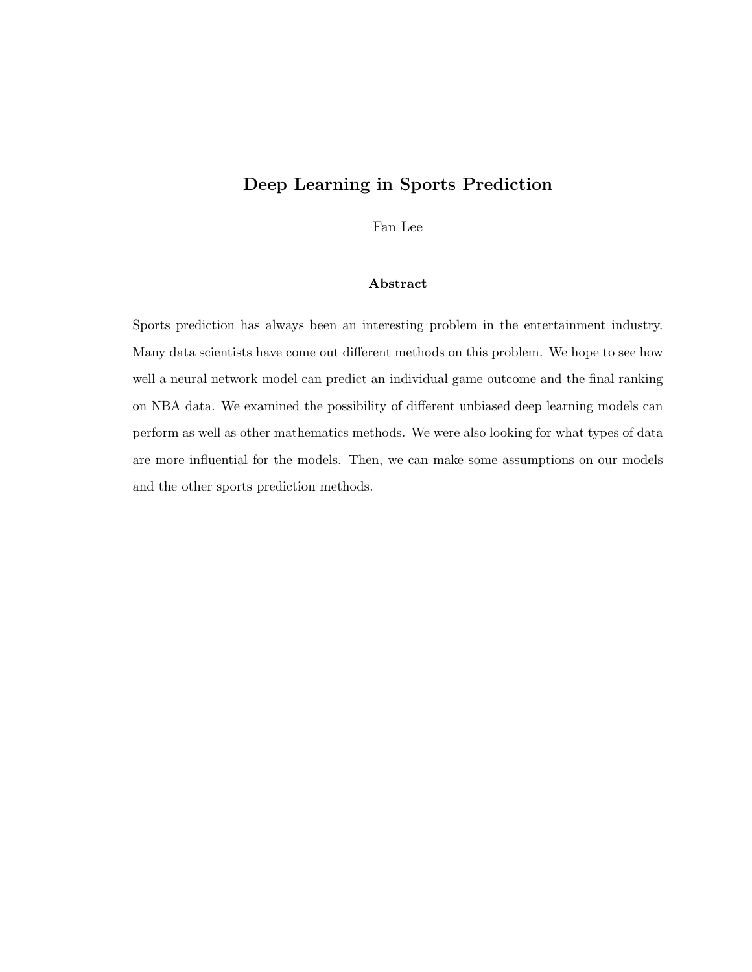## Deep Learning in Sports Prediction

Fan Lee

#### Abstract

Sports prediction has always been an interesting problem in the entertainment industry. Many data scientists have come out different methods on this problem. We hope to see how well a neural network model can predict an individual game outcome and the final ranking on NBA data. We examined the possibility of different unbiased deep learning models can perform as well as other mathematics methods. We were also looking for what types of data are more influential for the models. Then, we can make some assumptions on our models and the other sports prediction methods.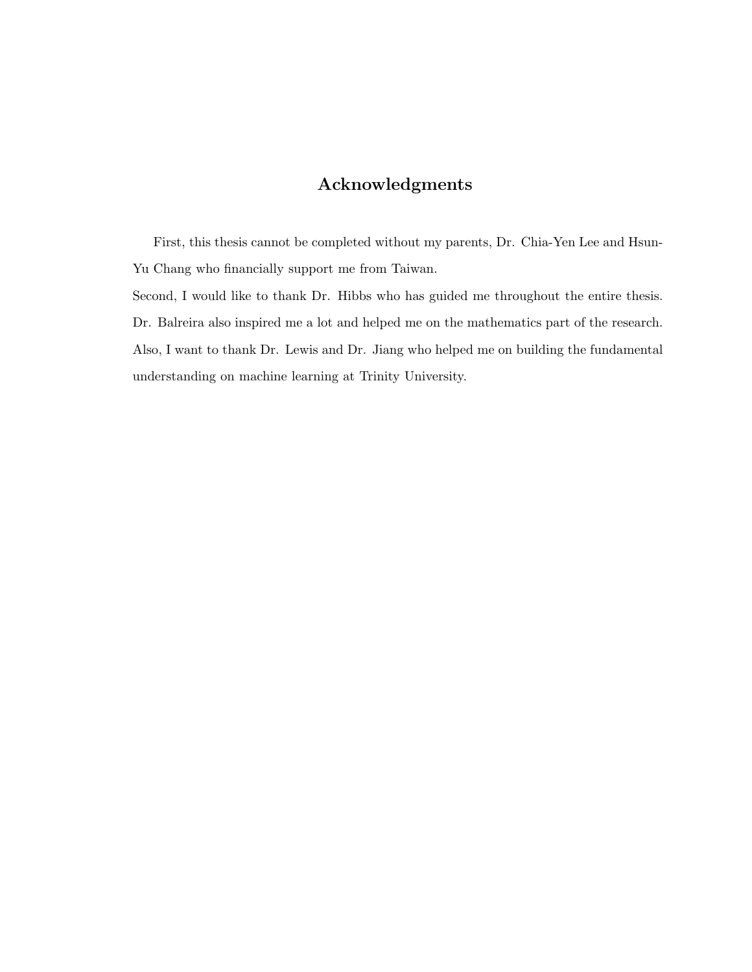## Acknowledgments

First, this thesis cannot be completed without my parents, Dr. Chia-Yen Lee and Hsun-Yu Chang who financially support me from Taiwan.

Second, I would like to thank Dr. Hibbs who has guided me throughout the entire thesis. Dr. Balreira also inspired me a lot and helped me on the mathematics part of the research. Also, I want to thank Dr. Lewis and Dr. Jiang who helped me on building the fundamental understanding on machine learning at Trinity University.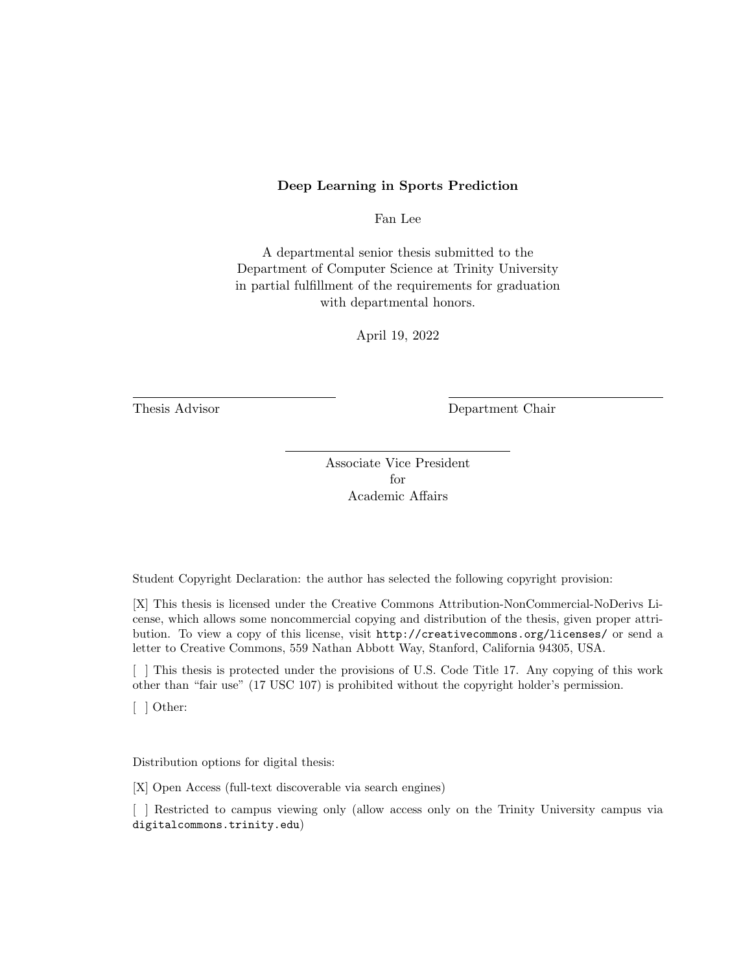#### Deep Learning in Sports Prediction

Fan Lee

A departmental senior thesis submitted to the Department of Computer Science at Trinity University in partial fulfillment of the requirements for graduation with departmental honors.

April 19, 2022

Thesis Advisor Department Chair

Associate Vice President for Academic Affairs

Student Copyright Declaration: the author has selected the following copyright provision:

[X] This thesis is licensed under the Creative Commons Attribution-NonCommercial-NoDerivs License, which allows some noncommercial copying and distribution of the thesis, given proper attribution. To view a copy of this license, visit http://creativecommons.org/licenses/ or send a letter to Creative Commons, 559 Nathan Abbott Way, Stanford, California 94305, USA.

[ ] This thesis is protected under the provisions of U.S. Code Title 17. Any copying of this work other than "fair use" (17 USC 107) is prohibited without the copyright holder's permission.

[ ] Other:

Distribution options for digital thesis:

[X] Open Access (full-text discoverable via search engines)

[ ] Restricted to campus viewing only (allow access only on the Trinity University campus via digitalcommons.trinity.edu)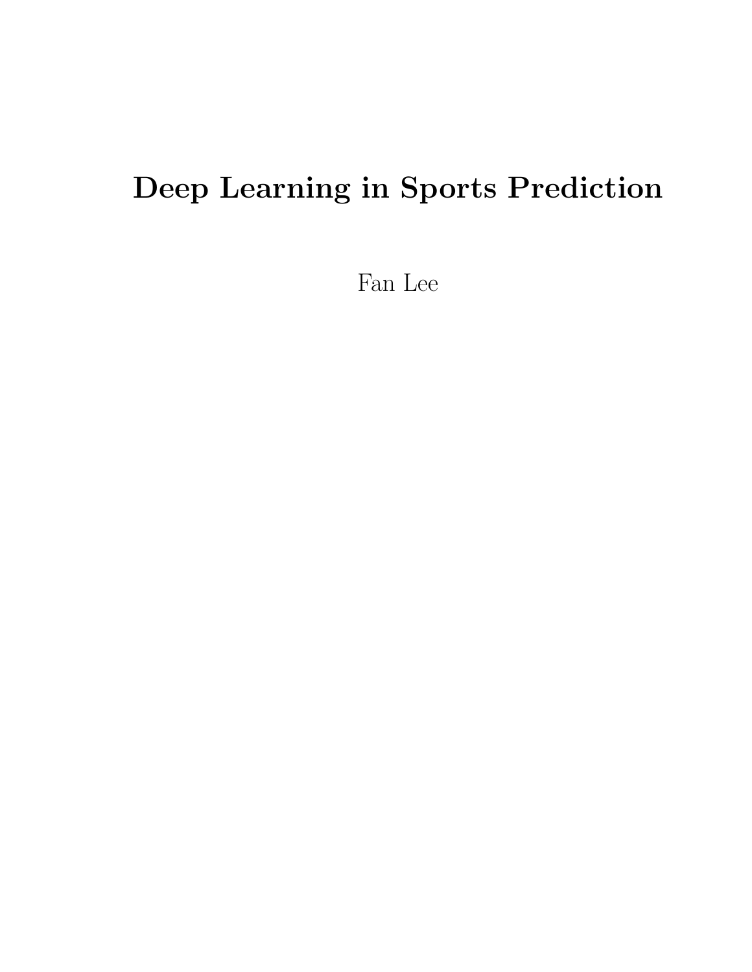# Deep Learning in Sports Prediction

Fan Lee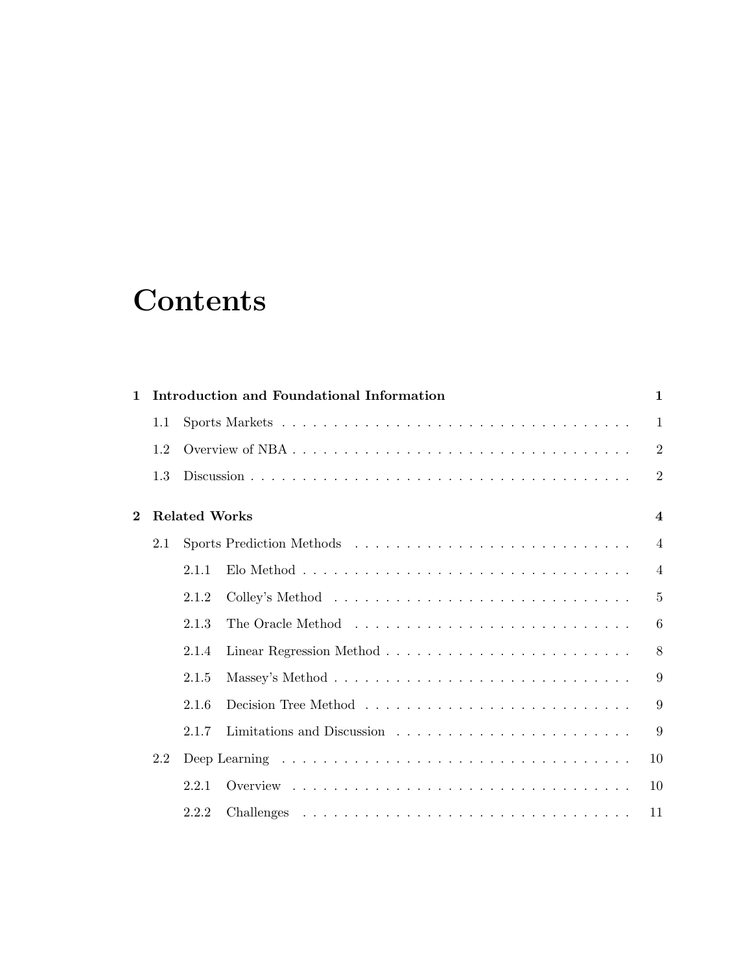# **Contents**

| $\mathbf{1}$ |     |                      | Introduction and Foundational Information | $\mathbf{1}$            |
|--------------|-----|----------------------|-------------------------------------------|-------------------------|
|              | 1.1 |                      |                                           | $\mathbf{1}$            |
|              | 1.2 |                      |                                           | $\boldsymbol{2}$        |
|              | 1.3 |                      |                                           | $\overline{2}$          |
| $\bf{2}$     |     | <b>Related Works</b> |                                           | $\overline{\mathbf{4}}$ |
|              | 2.1 |                      |                                           | $\overline{4}$          |
|              |     | 2.1.1                |                                           | $\overline{4}$          |
|              |     | 2.1.2                |                                           | $\overline{5}$          |
|              |     | 2.1.3                |                                           | 6                       |
|              |     | 2.1.4                |                                           | 8                       |
|              |     | 2.1.5                |                                           | 9                       |
|              |     | 2.1.6                |                                           | 9                       |
|              |     | 2.1.7                |                                           | 9                       |
|              | 2.2 |                      |                                           | 10                      |
|              |     | 2.2.1                |                                           | 10                      |
|              |     | 2.2.2                |                                           | 11                      |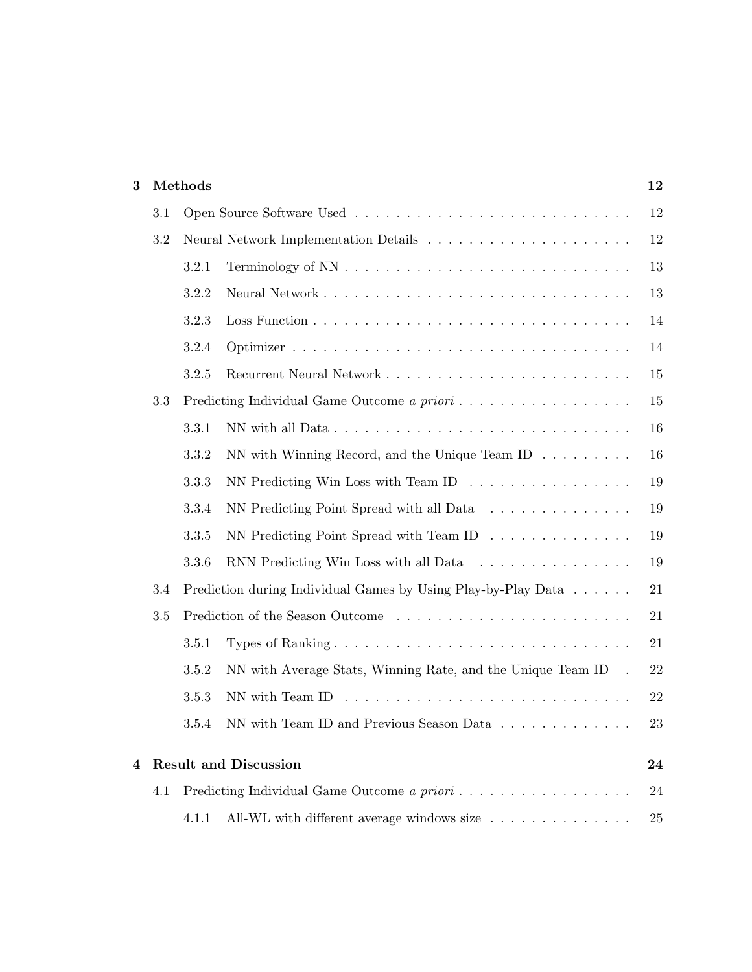| 3 |     | Methods<br>12 |                                                                                                      |        |  |  |  |
|---|-----|---------------|------------------------------------------------------------------------------------------------------|--------|--|--|--|
|   | 3.1 |               |                                                                                                      | 12     |  |  |  |
|   | 3.2 |               |                                                                                                      | 12     |  |  |  |
|   |     | 3.2.1         |                                                                                                      | 13     |  |  |  |
|   |     | 3.2.2         |                                                                                                      | 13     |  |  |  |
|   |     | 3.2.3         |                                                                                                      | 14     |  |  |  |
|   |     | 3.2.4         |                                                                                                      | 14     |  |  |  |
|   |     | 3.2.5         |                                                                                                      | 15     |  |  |  |
|   | 3.3 |               | Predicting Individual Game Outcome a priori                                                          | 15     |  |  |  |
|   |     | 3.3.1         |                                                                                                      | 16     |  |  |  |
|   |     | 3.3.2         | NN with Winning Record, and the Unique Team ID $\dots \dots$                                         | 16     |  |  |  |
|   |     | 3.3.3         | NN Predicting Win Loss with Team ID $\ldots \ldots \ldots \ldots \ldots$                             | 19     |  |  |  |
|   |     | 3.3.4         | NN Predicting Point Spread with all Data                                                             | 19     |  |  |  |
|   |     | 3.3.5         | NN Predicting Point Spread with Team ID $\ldots \ldots \ldots \ldots$                                | 19     |  |  |  |
|   |     | 3.3.6         | RNN Predicting Win Loss with all Data                                                                | 19     |  |  |  |
|   | 3.4 |               | Prediction during Individual Games by Using Play-by-Play Data                                        | 21     |  |  |  |
|   | 3.5 |               | Prediction of the Season Outcome                                                                     | 21     |  |  |  |
|   |     | 3.5.1         |                                                                                                      | 21     |  |  |  |
|   |     | 3.5.2         | NN with Average Stats, Winning Rate, and the Unique Team ID.                                         | 22     |  |  |  |
|   |     | 3.5.3         |                                                                                                      | $22\,$ |  |  |  |
|   |     | 3.5.4         | NN with Team ID and Previous Season Data                                                             | 23     |  |  |  |
| 4 |     |               | <b>Result and Discussion</b>                                                                         | 24     |  |  |  |
|   | 4.1 |               | Predicting Individual Game Outcome a priori                                                          | 24     |  |  |  |
|   |     | 4.1.1         | All-WL with different average windows size $\;\ldots\; \ldots\; \ldots\; \ldots\; \ldots\; \ldots\;$ | 25     |  |  |  |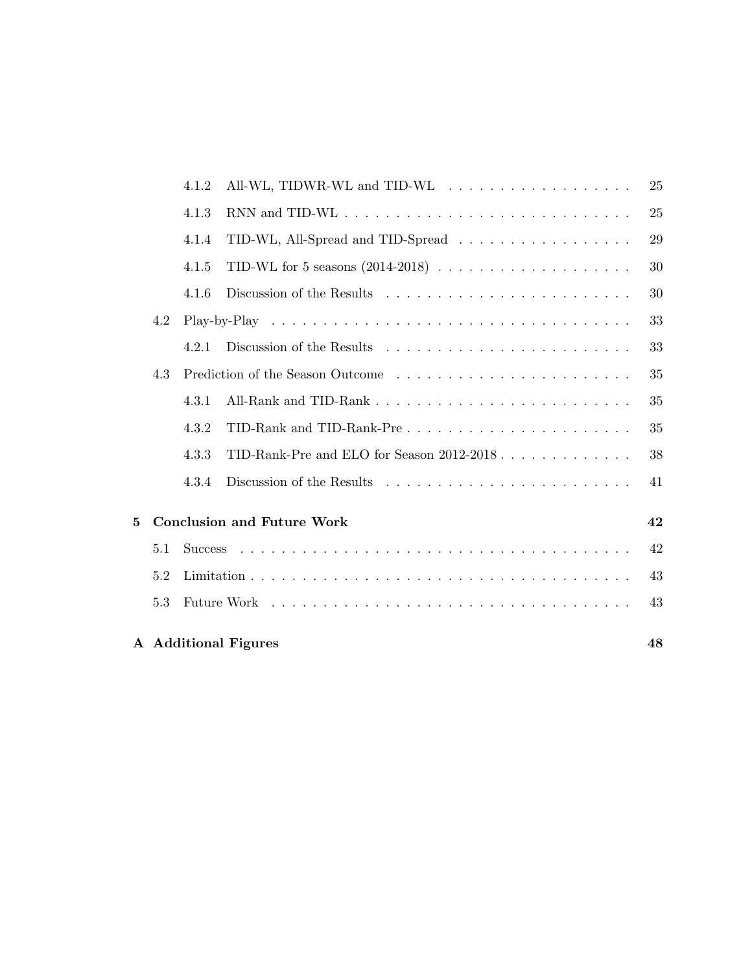|                |     |       | A Additional Figures                                                              | 48 |
|----------------|-----|-------|-----------------------------------------------------------------------------------|----|
|                | 5.3 |       |                                                                                   | 43 |
|                | 5.2 |       |                                                                                   | 43 |
|                | 5.1 |       |                                                                                   | 42 |
| $\overline{5}$ |     |       | <b>Conclusion and Future Work</b>                                                 | 42 |
|                |     | 4.3.4 |                                                                                   | 41 |
|                |     | 4.3.3 | TID-Rank-Pre and ELO for Season 2012-2018                                         | 38 |
|                |     | 4.3.2 | TID-Rank and TID-Rank-Pre $\dots \dots \dots \dots \dots \dots \dots \dots \dots$ | 35 |
|                |     | 4.3.1 |                                                                                   | 35 |
|                | 4.3 |       |                                                                                   | 35 |
|                |     | 4.2.1 |                                                                                   | 33 |
|                | 4.2 |       |                                                                                   | 33 |
|                |     | 4.1.6 |                                                                                   | 30 |
|                |     | 4.1.5 | TID-WL for 5 seasons $(2014-2018) \ldots \ldots \ldots \ldots \ldots \ldots$      | 30 |
|                |     | 4.1.4 | TID-WL, All-Spread and TID-Spread                                                 | 29 |
|                |     | 4.1.3 |                                                                                   | 25 |
|                |     | 4.1.2 |                                                                                   | 25 |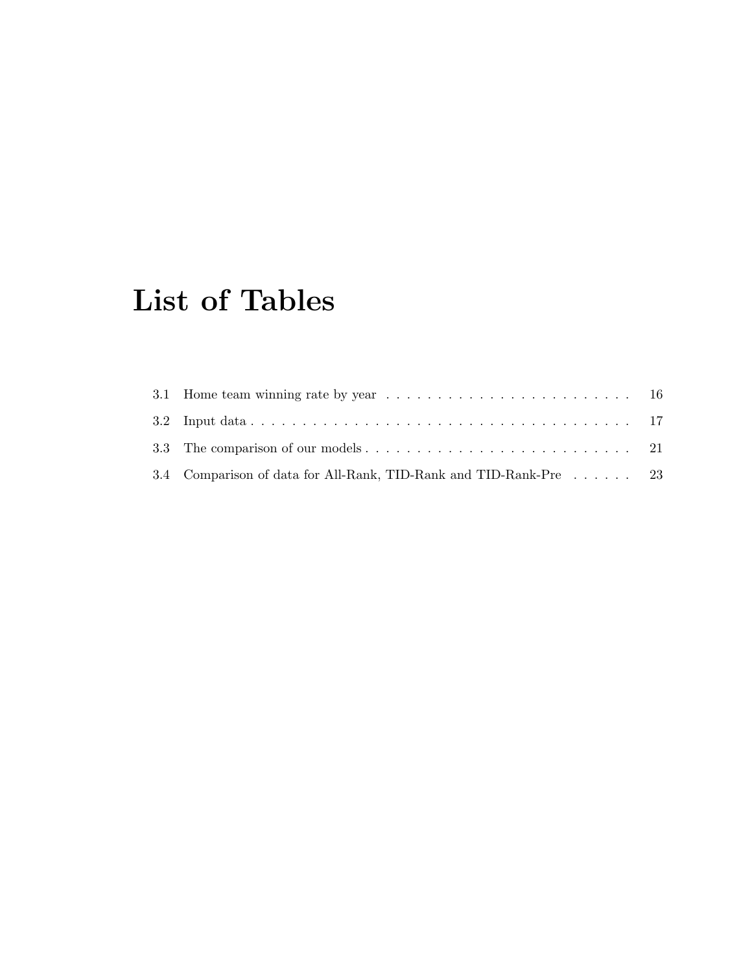# List of Tables

| 3.4 Comparison of data for All-Rank, TID-Rank and TID-Rank-Pre 23 |  |
|-------------------------------------------------------------------|--|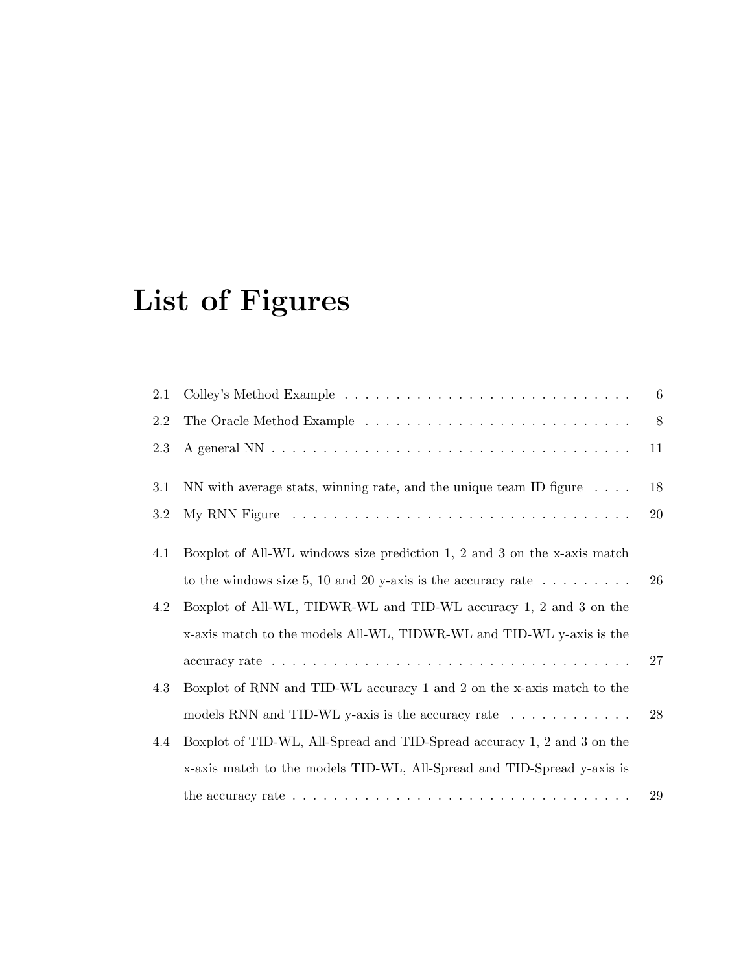# List of Figures

| 2.1 |                                                                                                         | 6  |
|-----|---------------------------------------------------------------------------------------------------------|----|
| 2.2 |                                                                                                         | 8  |
| 2.3 |                                                                                                         | 11 |
| 3.1 | NN with average stats, winning rate, and the unique team ID figure $\dots$ .                            | 18 |
| 3.2 |                                                                                                         | 20 |
| 4.1 | Boxplot of All-WL windows size prediction 1, 2 and 3 on the x-axis match                                |    |
|     | to the windows size 5, 10 and 20 y-axis is the accuracy rate $\dots \dots \dots$                        | 26 |
| 4.2 | Boxplot of All-WL, TIDWR-WL and TID-WL accuracy 1, 2 and 3 on the                                       |    |
|     | x-axis match to the models All-WL, TIDWR-WL and TID-WL y-axis is the                                    |    |
|     |                                                                                                         | 27 |
| 4.3 | Boxplot of RNN and TID-WL accuracy 1 and 2 on the x-axis match to the                                   |    |
|     | models RNN and TID-WL y-axis is the accuracy rate                                                       | 28 |
| 4.4 | Boxplot of TID-WL, All-Spread and TID-Spread accuracy 1, 2 and 3 on the                                 |    |
|     | x-axis match to the models TID-WL, All-Spread and TID-Spread y-axis is                                  |    |
|     | the accuracy rate $\ldots \ldots \ldots \ldots \ldots \ldots \ldots \ldots \ldots \ldots \ldots \ldots$ | 29 |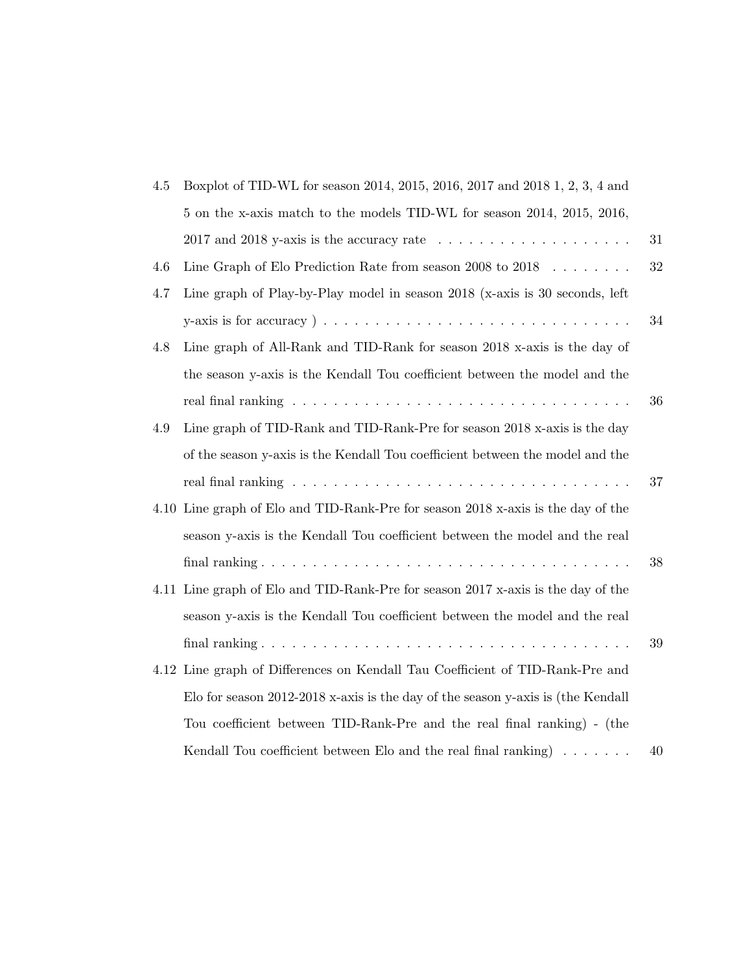| $4.5\,$ | Boxplot of TID-WL for season 2014, 2015, 2016, 2017 and 2018 1, 2, 3, 4 and                             |        |
|---------|---------------------------------------------------------------------------------------------------------|--------|
|         | 5 on the x-axis match to the models TID-WL for season 2014, 2015, 2016,                                 |        |
|         | 2017 and 2018 y-axis is the accuracy rate $\ldots \ldots \ldots \ldots \ldots \ldots$                   | $31\,$ |
| 4.6     | Line Graph of Elo Prediction Rate from season 2008 to 2018 $\ldots \ldots$                              | 32     |
| 4.7     | Line graph of Play-by-Play model in season 2018 (x-axis is 30 seconds, left                             |        |
|         | y-axis is for accuracy $) \ldots \ldots \ldots \ldots \ldots \ldots \ldots \ldots \ldots \ldots \ldots$ | 34     |
| 4.8     | Line graph of All-Rank and TID-Rank for season 2018 x-axis is the day of                                |        |
|         | the season y-axis is the Kendall Tou coefficient between the model and the                              |        |
|         |                                                                                                         | 36     |
| 4.9     | Line graph of TID-Rank and TID-Rank-Pre for season 2018 x-axis is the day                               |        |
|         | of the season y-axis is the Kendall Tou coefficient between the model and the                           |        |
|         |                                                                                                         | 37     |
|         | 4.10 Line graph of Elo and TID-Rank-Pre for season 2018 x-axis is the day of the                        |        |
|         | season y-axis is the Kendall Tou coefficient between the model and the real                             |        |
|         |                                                                                                         | 38     |
|         | 4.11 Line graph of Elo and TID-Rank-Pre for season 2017 x-axis is the day of the                        |        |
|         | season y-axis is the Kendall Tou coefficient between the model and the real                             |        |
|         |                                                                                                         | 39     |
|         | 4.12 Line graph of Differences on Kendall Tau Coefficient of TID-Rank-Pre and                           |        |
|         | Elo for season 2012-2018 x-axis is the day of the season y-axis is (the Kendall                         |        |
|         | Tou coefficient between TID-Rank-Pre and the real final ranking) - (the                                 |        |
|         | Kendall Tou coefficient between Elo and the real final ranking $\ldots \ldots$                          | 40     |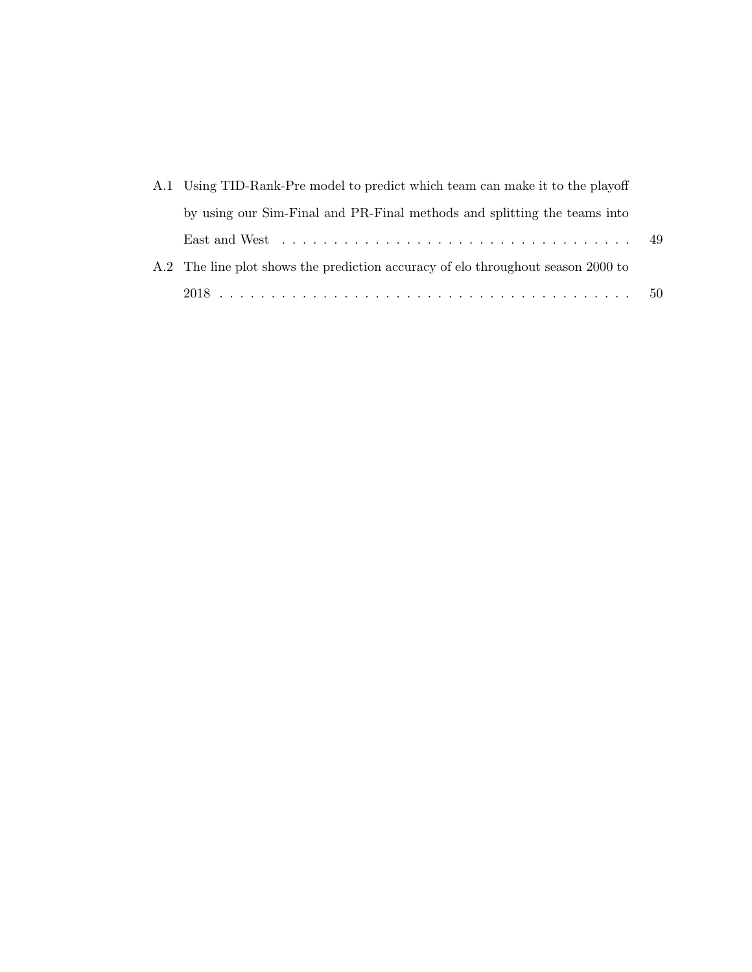| A.1 Using TID-Rank-Pre model to predict which team can make it to the playoff    |  |
|----------------------------------------------------------------------------------|--|
| by using our Sim-Final and PR-Final methods and splitting the teams into         |  |
|                                                                                  |  |
| A.2 The line plot shows the prediction accuracy of elo throughout season 2000 to |  |
|                                                                                  |  |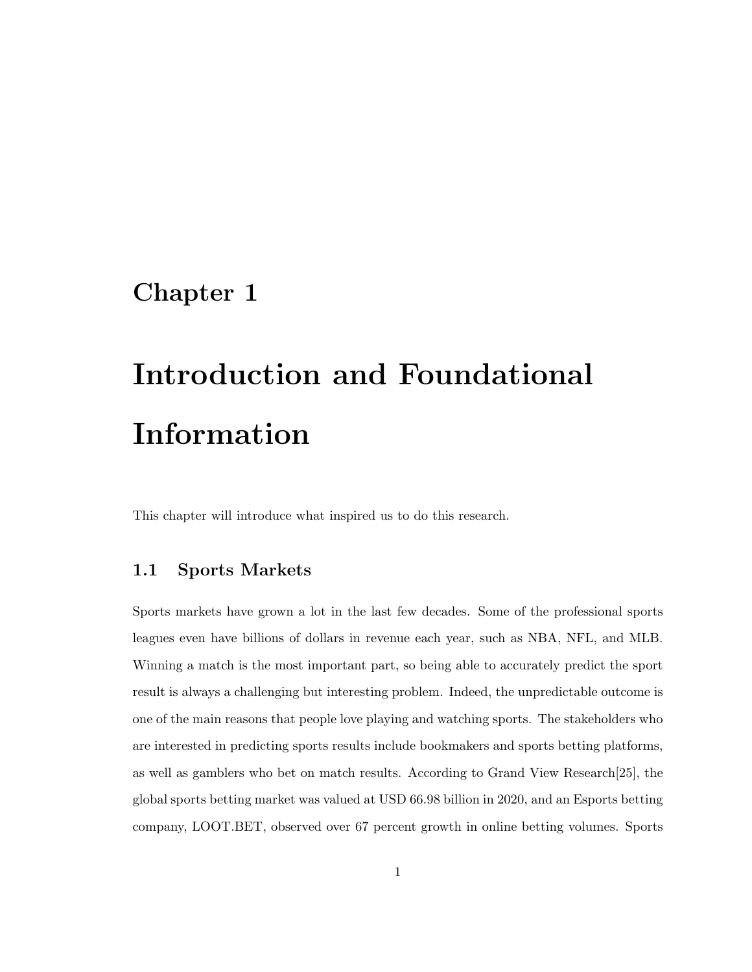# Chapter 1

# Introduction and Foundational Information

This chapter will introduce what inspired us to do this research.

### 1.1 Sports Markets

Sports markets have grown a lot in the last few decades. Some of the professional sports leagues even have billions of dollars in revenue each year, such as NBA, NFL, and MLB. Winning a match is the most important part, so being able to accurately predict the sport result is always a challenging but interesting problem. Indeed, the unpredictable outcome is one of the main reasons that people love playing and watching sports. The stakeholders who are interested in predicting sports results include bookmakers and sports betting platforms, as well as gamblers who bet on match results. According to Grand View Research[25], the global sports betting market was valued at USD 66.98 billion in 2020, and an Esports betting company, LOOT.BET, observed over 67 percent growth in online betting volumes. Sports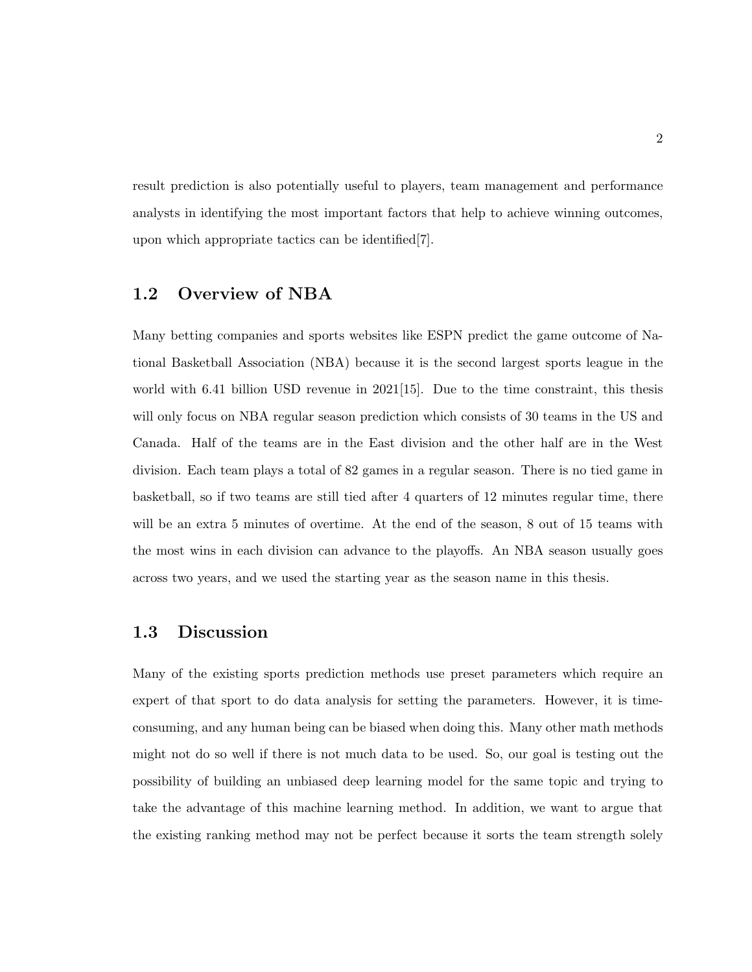result prediction is also potentially useful to players, team management and performance analysts in identifying the most important factors that help to achieve winning outcomes, upon which appropriate tactics can be identified[7].

### 1.2 Overview of NBA

Many betting companies and sports websites like ESPN predict the game outcome of National Basketball Association (NBA) because it is the second largest sports league in the world with 6.41 billion USD revenue in  $2021[15]$ . Due to the time constraint, this thesis will only focus on NBA regular season prediction which consists of 30 teams in the US and Canada. Half of the teams are in the East division and the other half are in the West division. Each team plays a total of 82 games in a regular season. There is no tied game in basketball, so if two teams are still tied after 4 quarters of 12 minutes regular time, there will be an extra 5 minutes of overtime. At the end of the season, 8 out of 15 teams with the most wins in each division can advance to the playoffs. An NBA season usually goes across two years, and we used the starting year as the season name in this thesis.

#### 1.3 Discussion

Many of the existing sports prediction methods use preset parameters which require an expert of that sport to do data analysis for setting the parameters. However, it is timeconsuming, and any human being can be biased when doing this. Many other math methods might not do so well if there is not much data to be used. So, our goal is testing out the possibility of building an unbiased deep learning model for the same topic and trying to take the advantage of this machine learning method. In addition, we want to argue that the existing ranking method may not be perfect because it sorts the team strength solely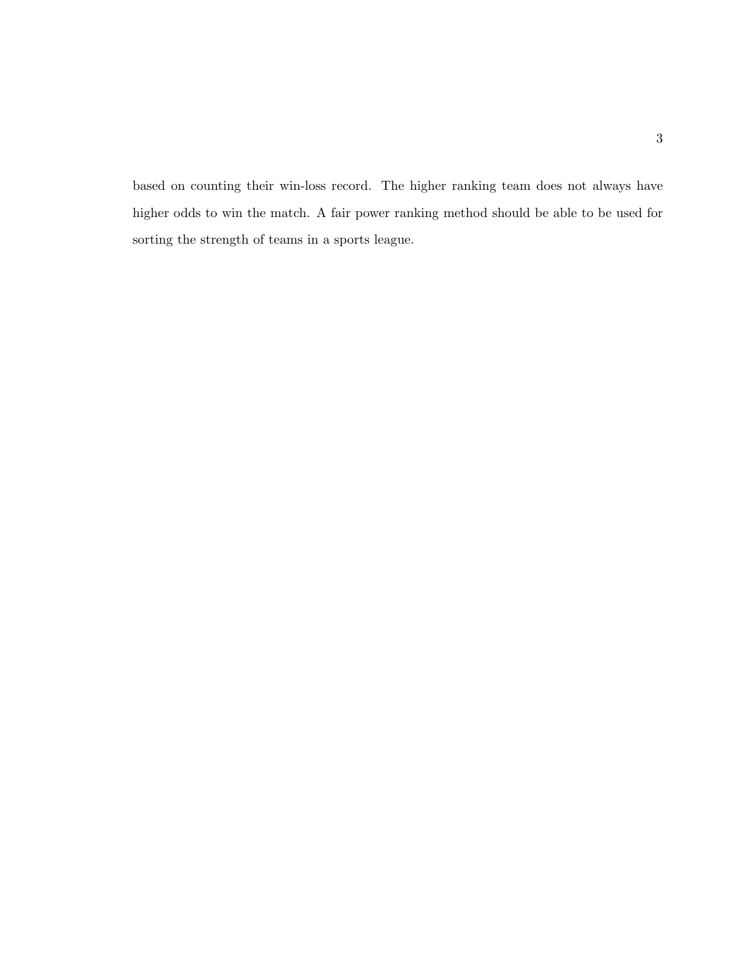based on counting their win-loss record. The higher ranking team does not always have higher odds to win the match. A fair power ranking method should be able to be used for sorting the strength of teams in a sports league.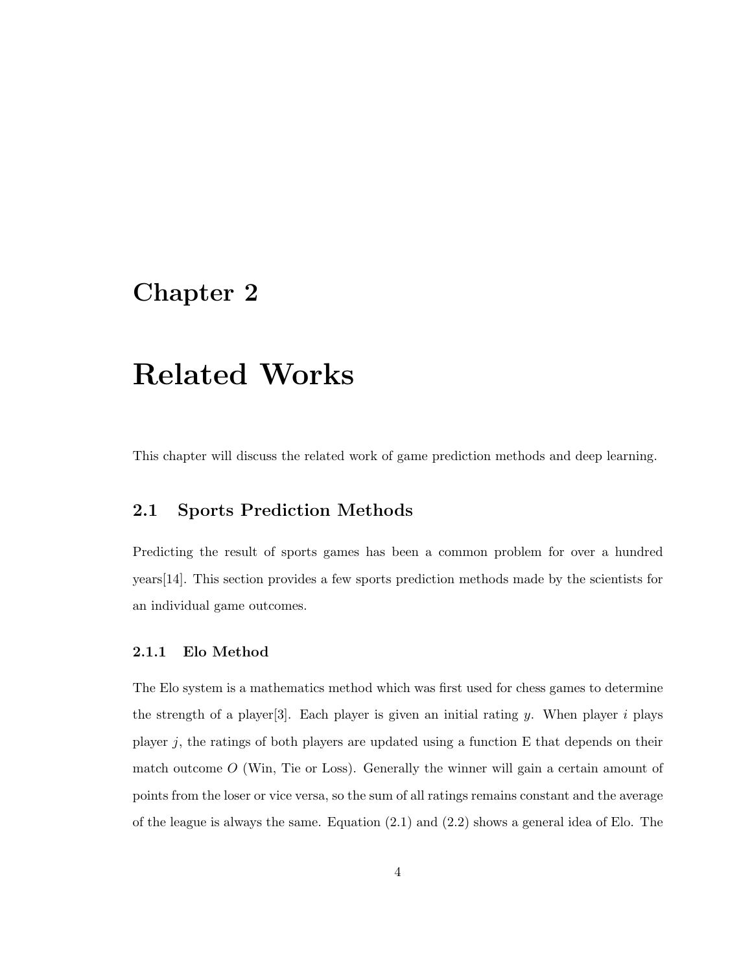# Chapter 2

# Related Works

This chapter will discuss the related work of game prediction methods and deep learning.

## 2.1 Sports Prediction Methods

Predicting the result of sports games has been a common problem for over a hundred years[14]. This section provides a few sports prediction methods made by the scientists for an individual game outcomes.

#### 2.1.1 Elo Method

The Elo system is a mathematics method which was first used for chess games to determine the strength of a player  $[3]$ . Each player is given an initial rating y. When player i plays player  $j$ , the ratings of both players are updated using a function E that depends on their match outcome  $O$  (Win, Tie or Loss). Generally the winner will gain a certain amount of points from the loser or vice versa, so the sum of all ratings remains constant and the average of the league is always the same. Equation (2.1) and (2.2) shows a general idea of Elo. The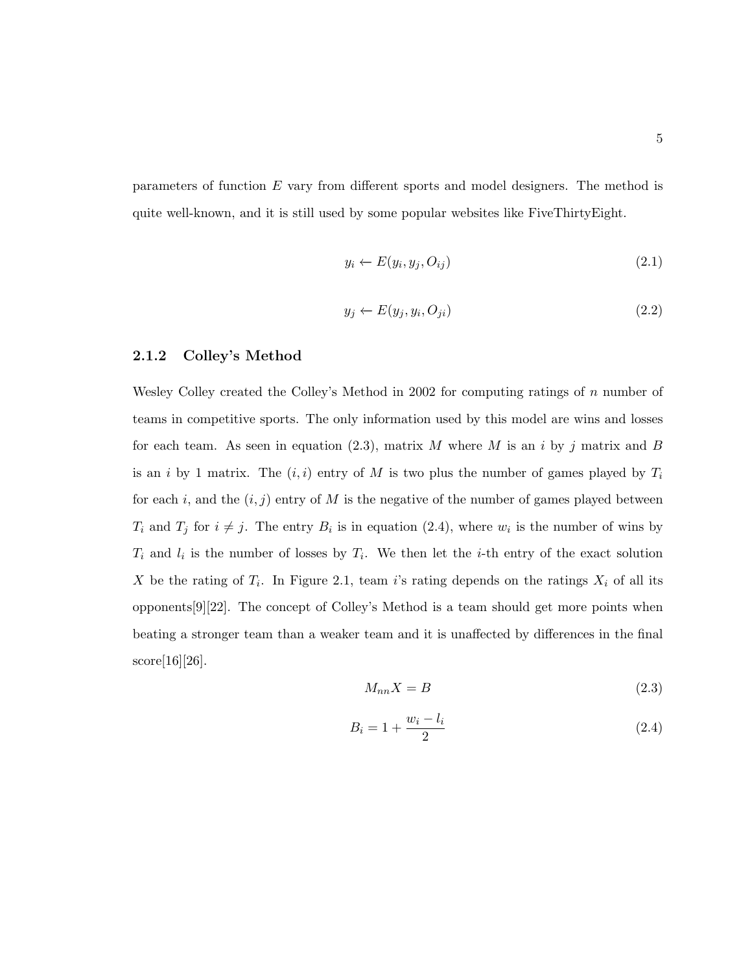parameters of function E vary from different sports and model designers. The method is quite well-known, and it is still used by some popular websites like FiveThirtyEight.

$$
y_i \leftarrow E(y_i, y_j, O_{ij}) \tag{2.1}
$$

$$
y_j \leftarrow E(y_j, y_i, O_{ji}) \tag{2.2}
$$

#### 2.1.2 Colley's Method

Wesley Colley created the Colley's Method in 2002 for computing ratings of  $n$  number of teams in competitive sports. The only information used by this model are wins and losses for each team. As seen in equation (2.3), matrix M where M is an i by j matrix and B is an i by 1 matrix. The  $(i, i)$  entry of M is two plus the number of games played by  $T_i$ for each i, and the  $(i, j)$  entry of M is the negative of the number of games played between  $T_i$  and  $T_j$  for  $i \neq j$ . The entry  $B_i$  is in equation (2.4), where  $w_i$  is the number of wins by  $T_i$  and  $l_i$  is the number of losses by  $T_i$ . We then let the *i*-th entry of the exact solution X be the rating of  $T_i$ . In Figure 2.1, team i's rating depends on the ratings  $X_i$  of all its opponents[9][22]. The concept of Colley's Method is a team should get more points when beating a stronger team than a weaker team and it is unaffected by differences in the final score[16][26].

$$
M_{nn}X = B \tag{2.3}
$$

$$
B_i = 1 + \frac{w_i - l_i}{2} \tag{2.4}
$$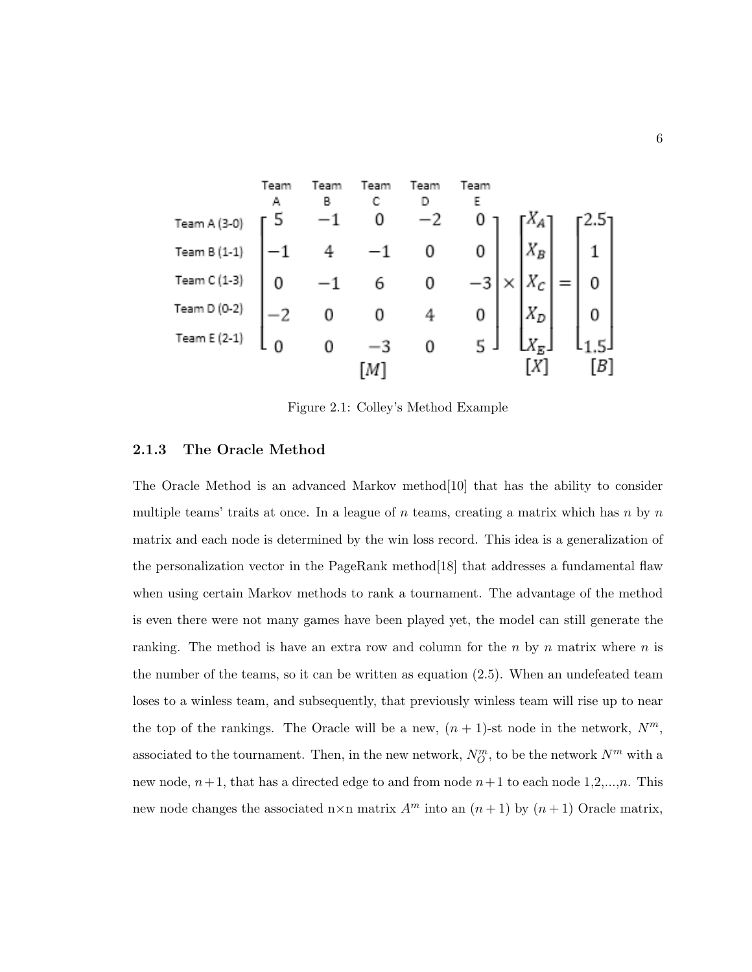

Figure 2.1: Colley's Method Example

#### 2.1.3 The Oracle Method

The Oracle Method is an advanced Markov method[10] that has the ability to consider multiple teams' traits at once. In a league of  $n$  teams, creating a matrix which has  $n$  by  $n$ matrix and each node is determined by the win loss record. This idea is a generalization of the personalization vector in the PageRank method[18] that addresses a fundamental flaw when using certain Markov methods to rank a tournament. The advantage of the method is even there were not many games have been played yet, the model can still generate the ranking. The method is have an extra row and column for the  $n$  by  $n$  matrix where  $n$  is the number of the teams, so it can be written as equation (2.5). When an undefeated team loses to a winless team, and subsequently, that previously winless team will rise up to near the top of the rankings. The Oracle will be a new,  $(n + 1)$ -st node in the network,  $N^m$ , associated to the tournament. Then, in the new network,  $N_O^m$ , to be the network  $N^m$  with a new node,  $n+1$ , that has a directed edge to and from node  $n+1$  to each node 1,2,...,n. This new node changes the associated n×n matrix  $A<sup>m</sup>$  into an  $(n + 1)$  by  $(n + 1)$  Oracle matrix,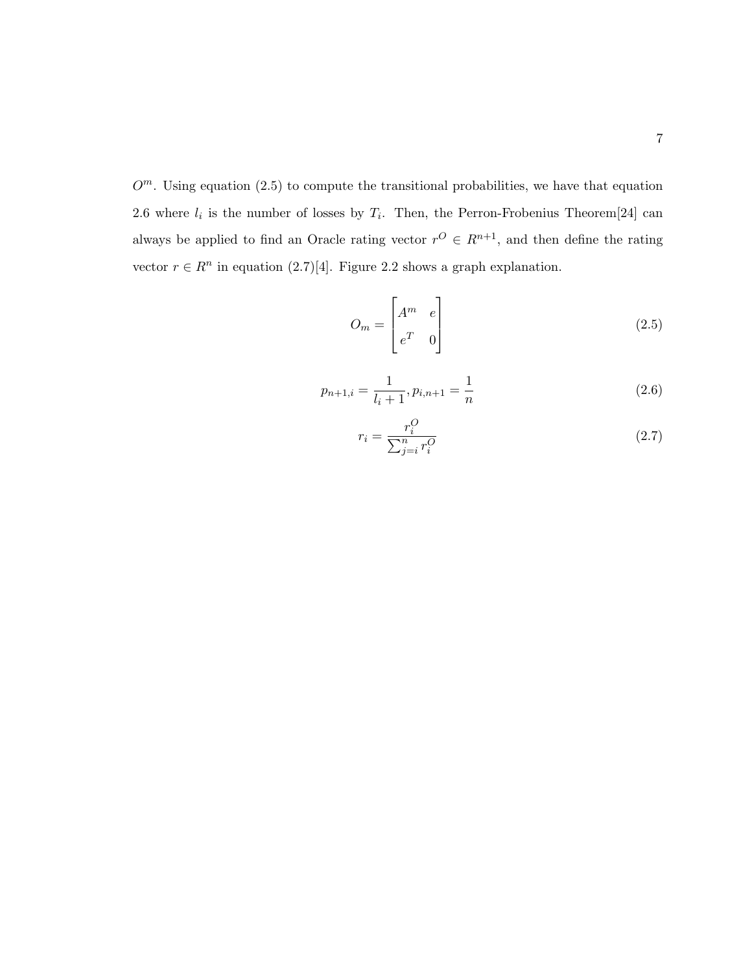$O^m$ . Using equation (2.5) to compute the transitional probabilities, we have that equation 2.6 where  $l_i$  is the number of losses by  $T_i$ . Then, the Perron-Frobenius Theorem [24] can always be applied to find an Oracle rating vector  $r^{O} \in R^{n+1}$ , and then define the rating vector  $r \in R^n$  in equation (2.7)[4]. Figure 2.2 shows a graph explanation.

$$
O_m = \begin{bmatrix} A^m & e \\ e^T & 0 \end{bmatrix}
$$
 (2.5)

$$
p_{n+1,i} = \frac{1}{l_i + 1}, p_{i,n+1} = \frac{1}{n}
$$
\n(2.6)

$$
r_i = \frac{r_i^O}{\sum_{j=i}^n r_i^O} \tag{2.7}
$$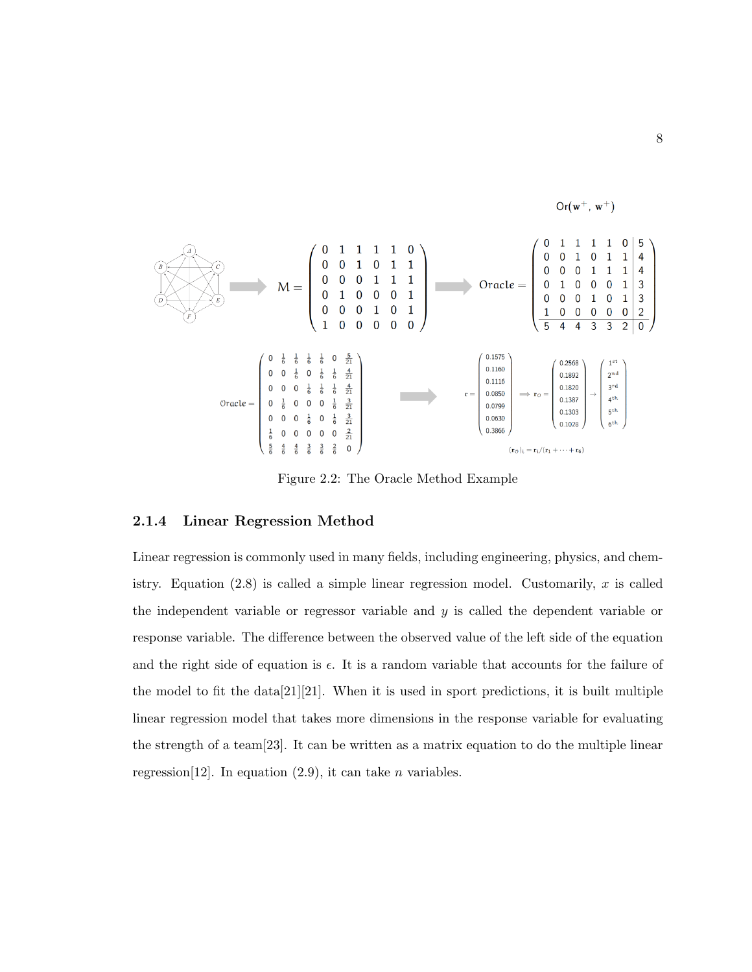

Figure 2.2: The Oracle Method Example

#### 2.1.4 Linear Regression Method

Linear regression is commonly used in many fields, including engineering, physics, and chemistry. Equation  $(2.8)$  is called a simple linear regression model. Customarily, x is called the independent variable or regressor variable and y is called the dependent variable or response variable. The difference between the observed value of the left side of the equation and the right side of equation is  $\epsilon$ . It is a random variable that accounts for the failure of the model to fit the  $data[21][21]$ . When it is used in sport predictions, it is built multiple linear regression model that takes more dimensions in the response variable for evaluating the strength of a team[23]. It can be written as a matrix equation to do the multiple linear regression<sup>[12]</sup>. In equation  $(2.9)$ , it can take *n* variables.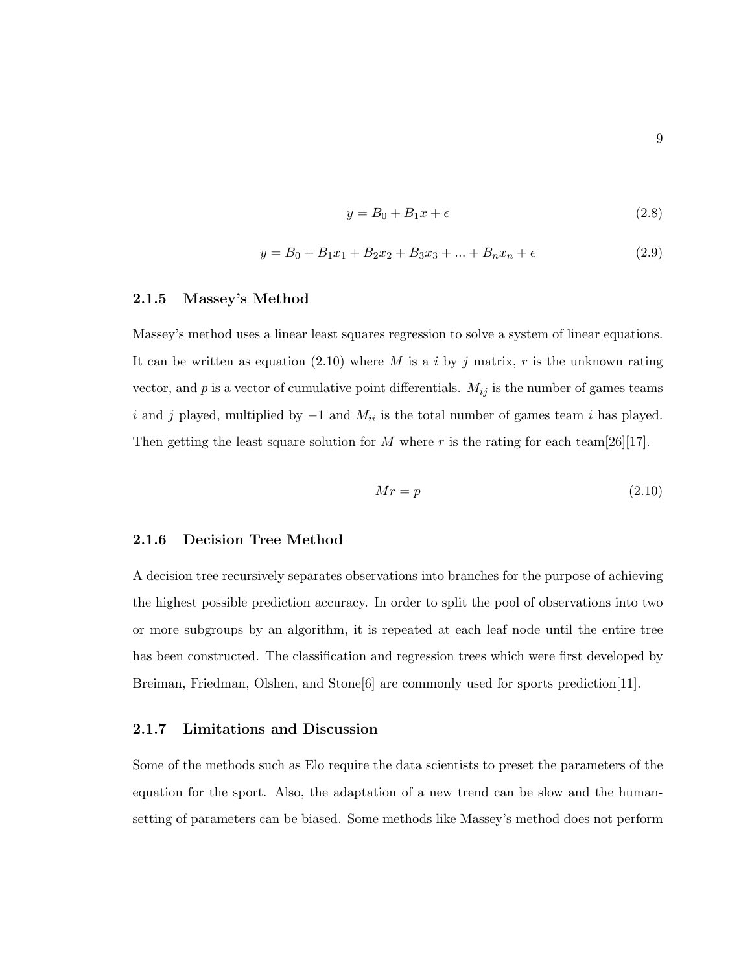$$
y = B_0 + B_1 x + \epsilon \tag{2.8}
$$

$$
y = B_0 + B_1 x_1 + B_2 x_2 + B_3 x_3 + \dots + B_n x_n + \epsilon \tag{2.9}
$$

#### 2.1.5 Massey's Method

Massey's method uses a linear least squares regression to solve a system of linear equations. It can be written as equation (2.10) where M is a i by j matrix, r is the unknown rating vector, and  $p$  is a vector of cumulative point differentials.  $M_{ij}$  is the number of games teams i and j played, multiplied by  $-1$  and  $M_{ii}$  is the total number of games team i has played. Then getting the least square solution for M where r is the rating for each team [26][17].

$$
Mr = p \tag{2.10}
$$

#### 2.1.6 Decision Tree Method

A decision tree recursively separates observations into branches for the purpose of achieving the highest possible prediction accuracy. In order to split the pool of observations into two or more subgroups by an algorithm, it is repeated at each leaf node until the entire tree has been constructed. The classification and regression trees which were first developed by Breiman, Friedman, Olshen, and Stone<sup>[6]</sup> are commonly used for sports prediction<sup>[11]</sup>.

#### 2.1.7 Limitations and Discussion

Some of the methods such as Elo require the data scientists to preset the parameters of the equation for the sport. Also, the adaptation of a new trend can be slow and the humansetting of parameters can be biased. Some methods like Massey's method does not perform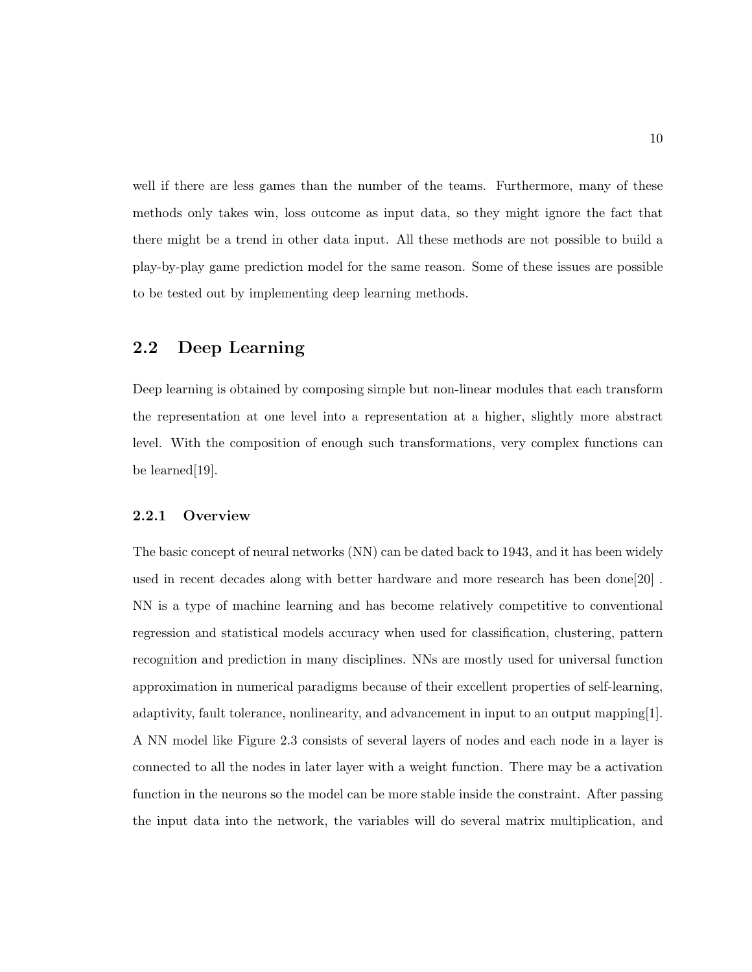well if there are less games than the number of the teams. Furthermore, many of these methods only takes win, loss outcome as input data, so they might ignore the fact that there might be a trend in other data input. All these methods are not possible to build a play-by-play game prediction model for the same reason. Some of these issues are possible to be tested out by implementing deep learning methods.

### 2.2 Deep Learning

Deep learning is obtained by composing simple but non-linear modules that each transform the representation at one level into a representation at a higher, slightly more abstract level. With the composition of enough such transformations, very complex functions can be learned[19].

#### 2.2.1 Overview

The basic concept of neural networks (NN) can be dated back to 1943, and it has been widely used in recent decades along with better hardware and more research has been done[20] . NN is a type of machine learning and has become relatively competitive to conventional regression and statistical models accuracy when used for classification, clustering, pattern recognition and prediction in many disciplines. NNs are mostly used for universal function approximation in numerical paradigms because of their excellent properties of self-learning, adaptivity, fault tolerance, nonlinearity, and advancement in input to an output mapping[1]. A NN model like Figure 2.3 consists of several layers of nodes and each node in a layer is connected to all the nodes in later layer with a weight function. There may be a activation function in the neurons so the model can be more stable inside the constraint. After passing the input data into the network, the variables will do several matrix multiplication, and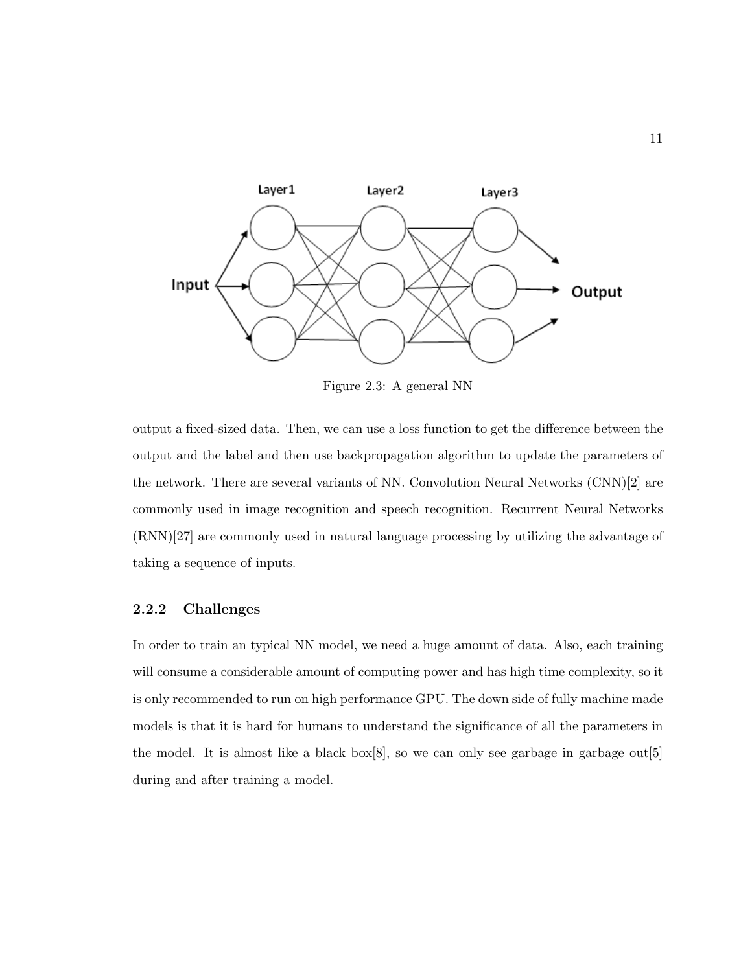

Figure 2.3: A general NN

output a fixed-sized data. Then, we can use a loss function to get the difference between the output and the label and then use backpropagation algorithm to update the parameters of the network. There are several variants of NN. Convolution Neural Networks (CNN)[2] are commonly used in image recognition and speech recognition. Recurrent Neural Networks (RNN)[27] are commonly used in natural language processing by utilizing the advantage of taking a sequence of inputs.

### 2.2.2 Challenges

In order to train an typical NN model, we need a huge amount of data. Also, each training will consume a considerable amount of computing power and has high time complexity, so it is only recommended to run on high performance GPU. The down side of fully machine made models is that it is hard for humans to understand the significance of all the parameters in the model. It is almost like a black box[8], so we can only see garbage in garbage out[5] during and after training a model.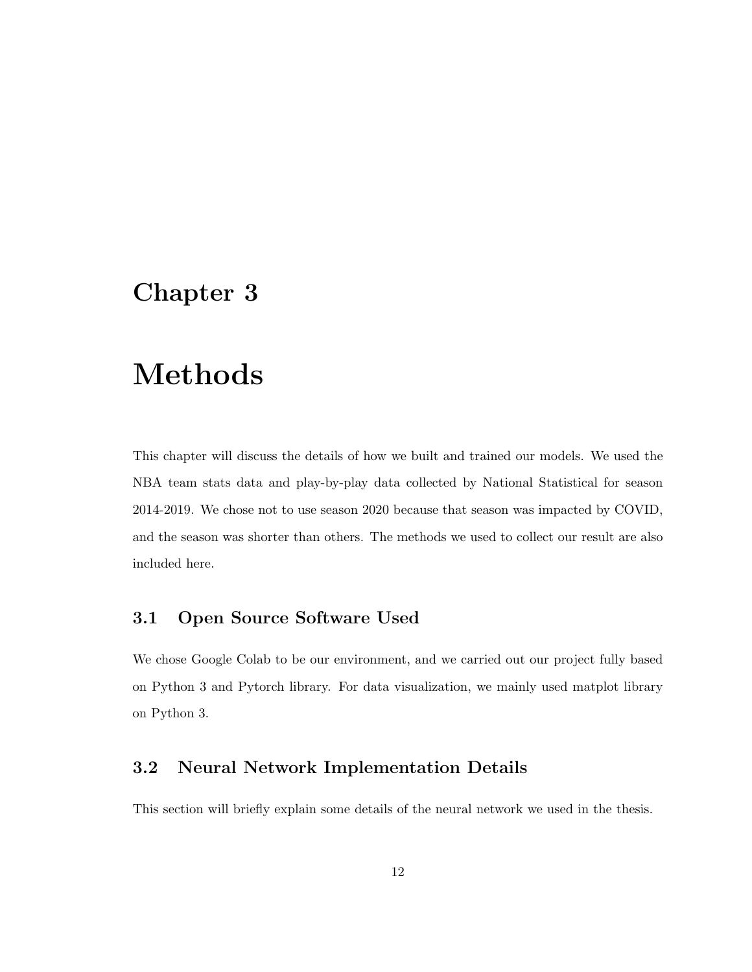# Chapter 3

# Methods

This chapter will discuss the details of how we built and trained our models. We used the NBA team stats data and play-by-play data collected by National Statistical for season 2014-2019. We chose not to use season 2020 because that season was impacted by COVID, and the season was shorter than others. The methods we used to collect our result are also included here.

### 3.1 Open Source Software Used

We chose Google Colab to be our environment, and we carried out our project fully based on Python 3 and Pytorch library. For data visualization, we mainly used matplot library on Python 3.

### 3.2 Neural Network Implementation Details

This section will briefly explain some details of the neural network we used in the thesis.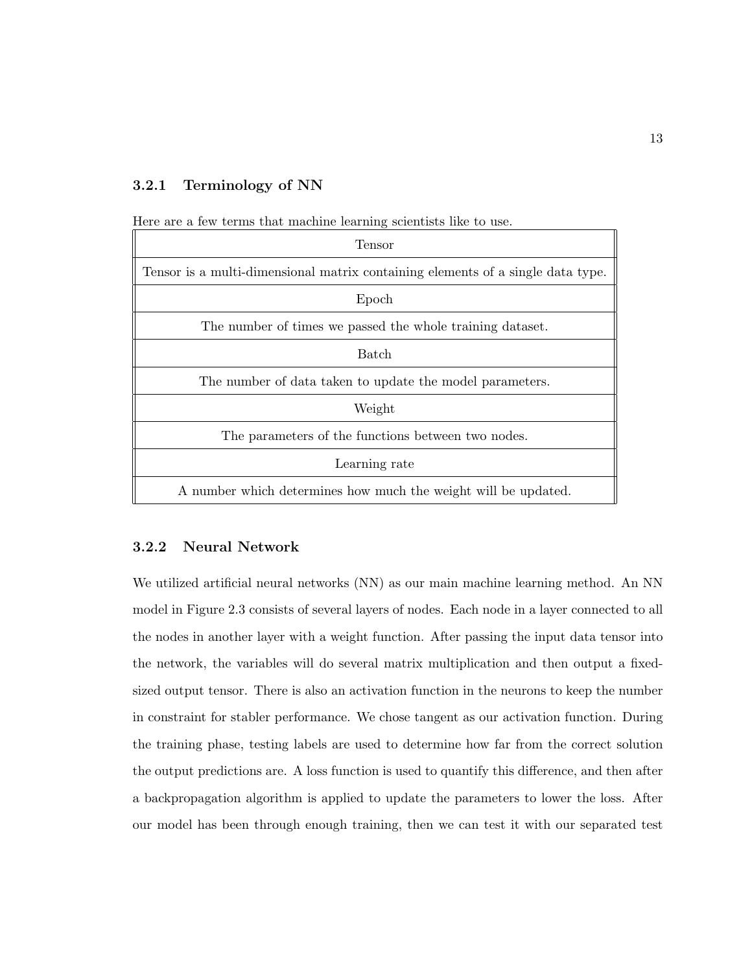#### 3.2.1 Terminology of NN

Here are a few terms that machine learning scientists like to use.

| Tensor                                                                          |  |  |  |  |  |
|---------------------------------------------------------------------------------|--|--|--|--|--|
| Tensor is a multi-dimensional matrix containing elements of a single data type. |  |  |  |  |  |
| Epoch                                                                           |  |  |  |  |  |
| The number of times we passed the whole training dataset.                       |  |  |  |  |  |
| Batch                                                                           |  |  |  |  |  |
| The number of data taken to update the model parameters.                        |  |  |  |  |  |
| Weight                                                                          |  |  |  |  |  |
| The parameters of the functions between two nodes.                              |  |  |  |  |  |
| Learning rate                                                                   |  |  |  |  |  |
| A number which determines how much the weight will be updated.                  |  |  |  |  |  |

#### 3.2.2 Neural Network

We utilized artificial neural networks (NN) as our main machine learning method. An NN model in Figure 2.3 consists of several layers of nodes. Each node in a layer connected to all the nodes in another layer with a weight function. After passing the input data tensor into the network, the variables will do several matrix multiplication and then output a fixedsized output tensor. There is also an activation function in the neurons to keep the number in constraint for stabler performance. We chose tangent as our activation function. During the training phase, testing labels are used to determine how far from the correct solution the output predictions are. A loss function is used to quantify this difference, and then after a backpropagation algorithm is applied to update the parameters to lower the loss. After our model has been through enough training, then we can test it with our separated test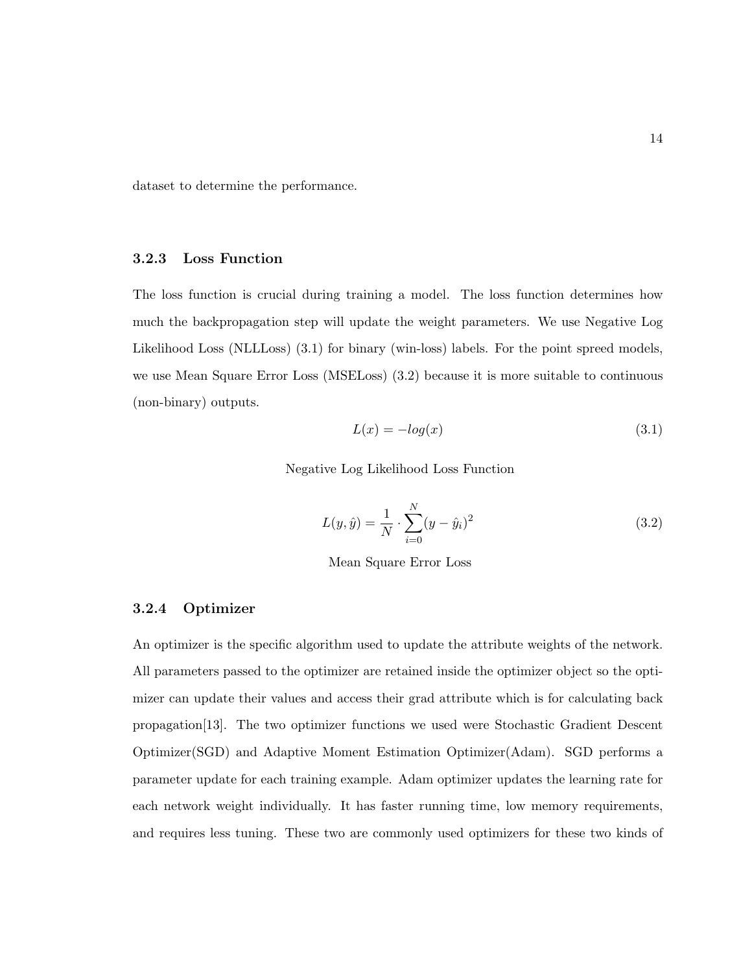dataset to determine the performance.

#### 3.2.3 Loss Function

The loss function is crucial during training a model. The loss function determines how much the backpropagation step will update the weight parameters. We use Negative Log Likelihood Loss (NLLLoss) (3.1) for binary (win-loss) labels. For the point spreed models, we use Mean Square Error Loss (MSELoss) (3.2) because it is more suitable to continuous (non-binary) outputs.

$$
L(x) = -log(x) \tag{3.1}
$$

Negative Log Likelihood Loss Function

$$
L(y, \hat{y}) = \frac{1}{N} \cdot \sum_{i=0}^{N} (y - \hat{y}_i)^2
$$
\n(3.2)

Mean Square Error Loss

#### 3.2.4 Optimizer

An optimizer is the specific algorithm used to update the attribute weights of the network. All parameters passed to the optimizer are retained inside the optimizer object so the optimizer can update their values and access their grad attribute which is for calculating back propagation[13]. The two optimizer functions we used were Stochastic Gradient Descent Optimizer(SGD) and Adaptive Moment Estimation Optimizer(Adam). SGD performs a parameter update for each training example. Adam optimizer updates the learning rate for each network weight individually. It has faster running time, low memory requirements, and requires less tuning. These two are commonly used optimizers for these two kinds of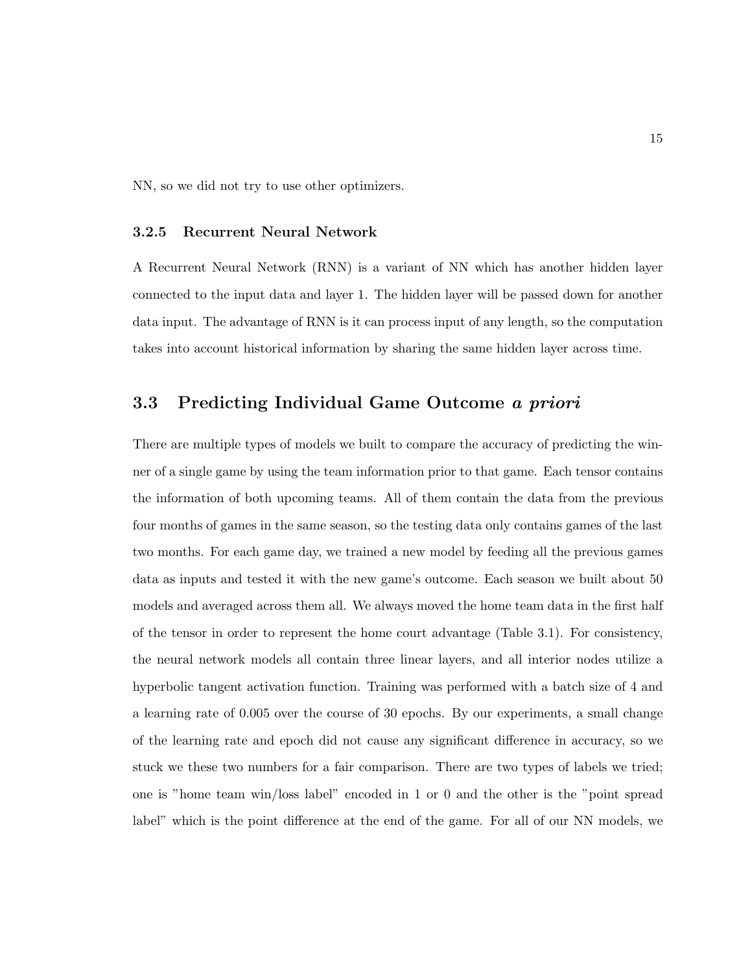NN, so we did not try to use other optimizers.

#### 3.2.5 Recurrent Neural Network

A Recurrent Neural Network (RNN) is a variant of NN which has another hidden layer connected to the input data and layer 1. The hidden layer will be passed down for another data input. The advantage of RNN is it can process input of any length, so the computation takes into account historical information by sharing the same hidden layer across time.

### 3.3 Predicting Individual Game Outcome a priori

There are multiple types of models we built to compare the accuracy of predicting the winner of a single game by using the team information prior to that game. Each tensor contains the information of both upcoming teams. All of them contain the data from the previous four months of games in the same season, so the testing data only contains games of the last two months. For each game day, we trained a new model by feeding all the previous games data as inputs and tested it with the new game's outcome. Each season we built about 50 models and averaged across them all. We always moved the home team data in the first half of the tensor in order to represent the home court advantage (Table 3.1). For consistency, the neural network models all contain three linear layers, and all interior nodes utilize a hyperbolic tangent activation function. Training was performed with a batch size of 4 and a learning rate of 0.005 over the course of 30 epochs. By our experiments, a small change of the learning rate and epoch did not cause any significant difference in accuracy, so we stuck we these two numbers for a fair comparison. There are two types of labels we tried; one is "home team win/loss label" encoded in 1 or 0 and the other is the "point spread label" which is the point difference at the end of the game. For all of our NN models, we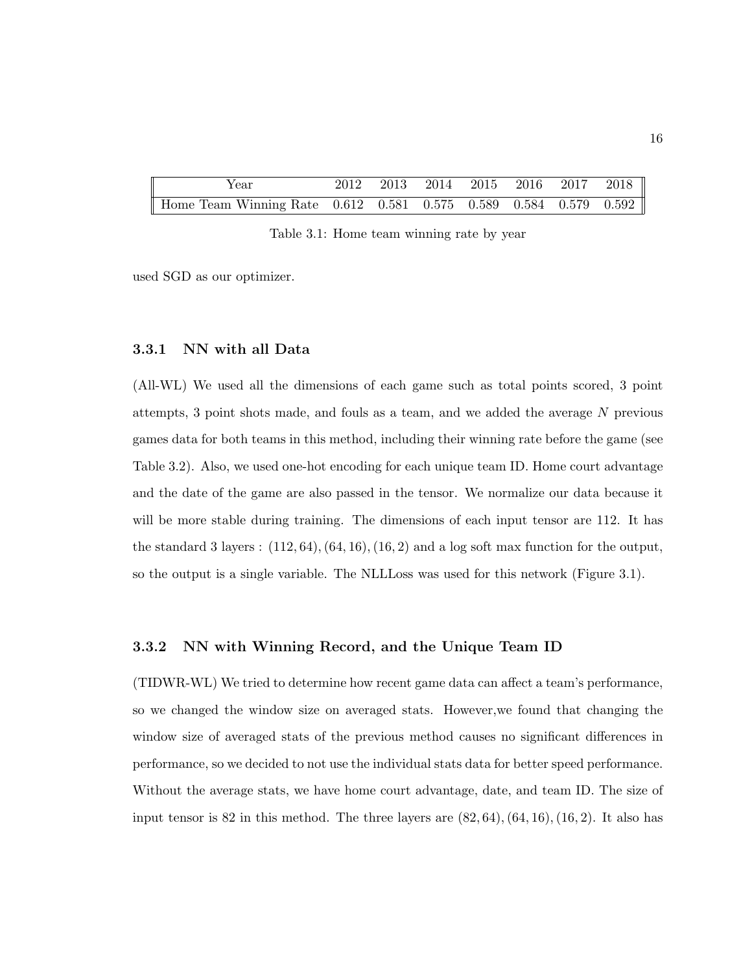| Year                                                                           |  | 2012 2013 2014 2015 2016 2017 2018 |  |  |
|--------------------------------------------------------------------------------|--|------------------------------------|--|--|
| Home Team Winning Rate $0.612$ $0.581$ $0.575$ $0.589$ $0.584$ $0.579$ $0.592$ |  |                                    |  |  |

Table 3.1: Home team winning rate by year

used SGD as our optimizer.

#### 3.3.1 NN with all Data

(All-WL) We used all the dimensions of each game such as total points scored, 3 point attempts, 3 point shots made, and fouls as a team, and we added the average N previous games data for both teams in this method, including their winning rate before the game (see Table 3.2). Also, we used one-hot encoding for each unique team ID. Home court advantage and the date of the game are also passed in the tensor. We normalize our data because it will be more stable during training. The dimensions of each input tensor are 112. It has the standard 3 layers :  $(112, 64)$ ,  $(64, 16)$ ,  $(16, 2)$  and a log soft max function for the output, so the output is a single variable. The NLLLoss was used for this network (Figure 3.1).

#### 3.3.2 NN with Winning Record, and the Unique Team ID

(TIDWR-WL) We tried to determine how recent game data can affect a team's performance, so we changed the window size on averaged stats. However,we found that changing the window size of averaged stats of the previous method causes no significant differences in performance, so we decided to not use the individual stats data for better speed performance. Without the average stats, we have home court advantage, date, and team ID. The size of input tensor is 82 in this method. The three layers are  $(82, 64)$ ,  $(64, 16)$ ,  $(16, 2)$ . It also has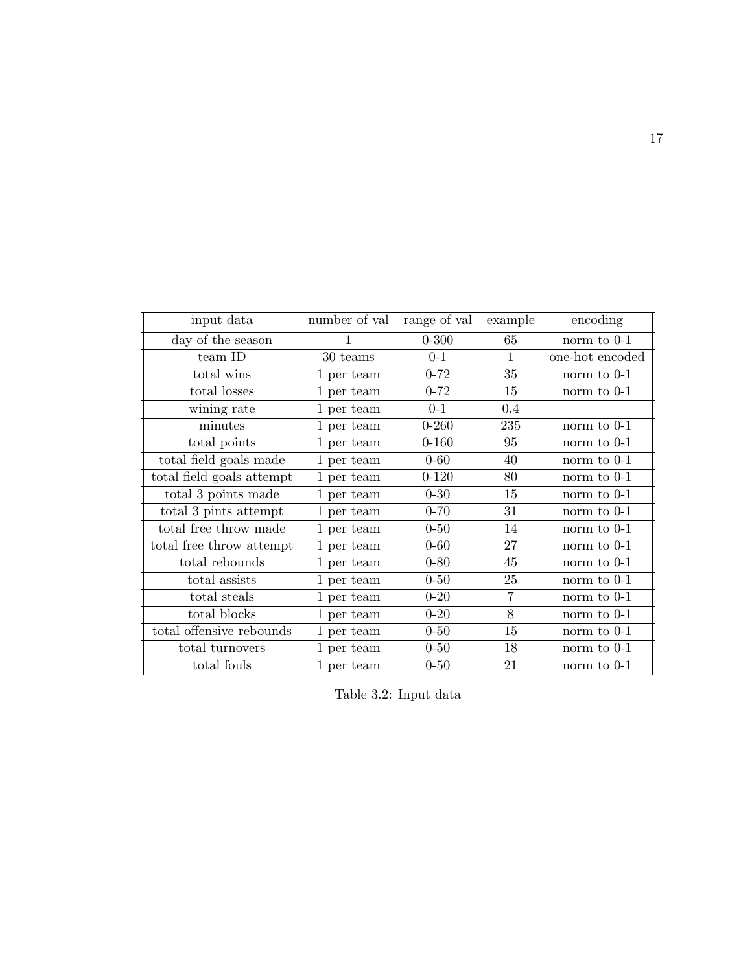| input data                | number of val | range of val | example        | encoding        |
|---------------------------|---------------|--------------|----------------|-----------------|
| day of the season         | 1             | $0 - 300$    | 65             | norm to $0-1$   |
| team ID                   | 30 teams      | $0-1$        | $\mathbf{1}$   | one-hot encoded |
| total wins                | 1 per team    | $0 - 72$     | 35             | norm to $0-1$   |
| total losses              | 1 per team    | $0 - 72$     | 15             | norm to 0-1     |
| wining rate               | 1 per team    | $0-1$        | 0.4            |                 |
| minutes                   | 1 per team    | $0 - 260$    | 235            | norm to $0-1$   |
| total points              | 1 per team    | $0 - 160$    | 95             | norm to $0-1$   |
| total field goals made    | 1 per team    | $0 - 60$     | 40             | norm to $0-1$   |
| total field goals attempt | 1 per team    | $0 - 120$    | 80             | norm to $0-1$   |
| total 3 points made       | 1 per team    | $0 - 30$     | 15             | norm to $0-1$   |
| total 3 pints attempt     | 1 per team    | $0 - 70$     | 31             | norm to $0-1$   |
| total free throw made     | 1 per team    | $0 - 50$     | 14             | norm to $0-1$   |
| total free throw attempt  | 1 per team    | $0 - 60$     | 27             | norm to $0-1$   |
| total rebounds            | 1 per team    | $0 - 80$     | 45             | norm to $0-1$   |
| total assists             | 1 per team    | $0 - 50$     | 25             | norm to $0-1$   |
| total steals              | 1 per team    | $0 - 20$     | $\overline{7}$ | norm to 0-1     |
| total blocks              | 1 per team    | $0 - 20$     | 8              | norm to 0-1     |
| total offensive rebounds  | 1 per team    | $0 - 50$     | 15             | norm to $0-1$   |
| total turnovers           | 1 per team    | $0 - 50$     | 18             | norm to $0-1$   |
| total fouls               | 1 per team    | $0 - 50$     | 21             | norm to 0-1     |

Table 3.2: Input data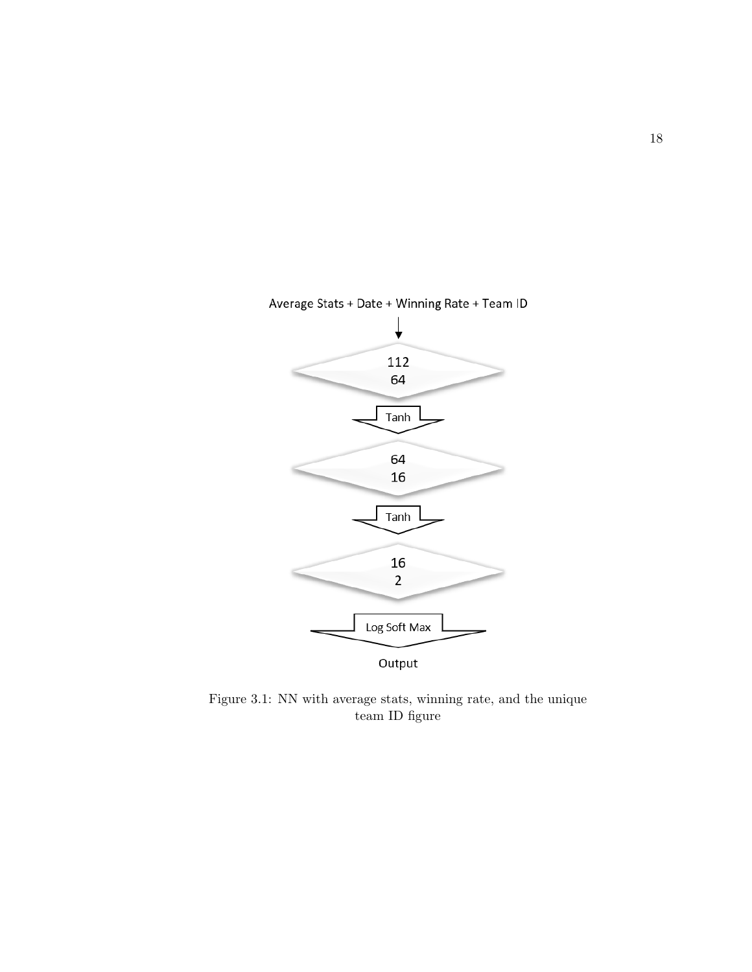

### Average Stats + Date + Winning Rate + Team ID

Figure 3.1: NN with average stats, winning rate, and the unique team ID figure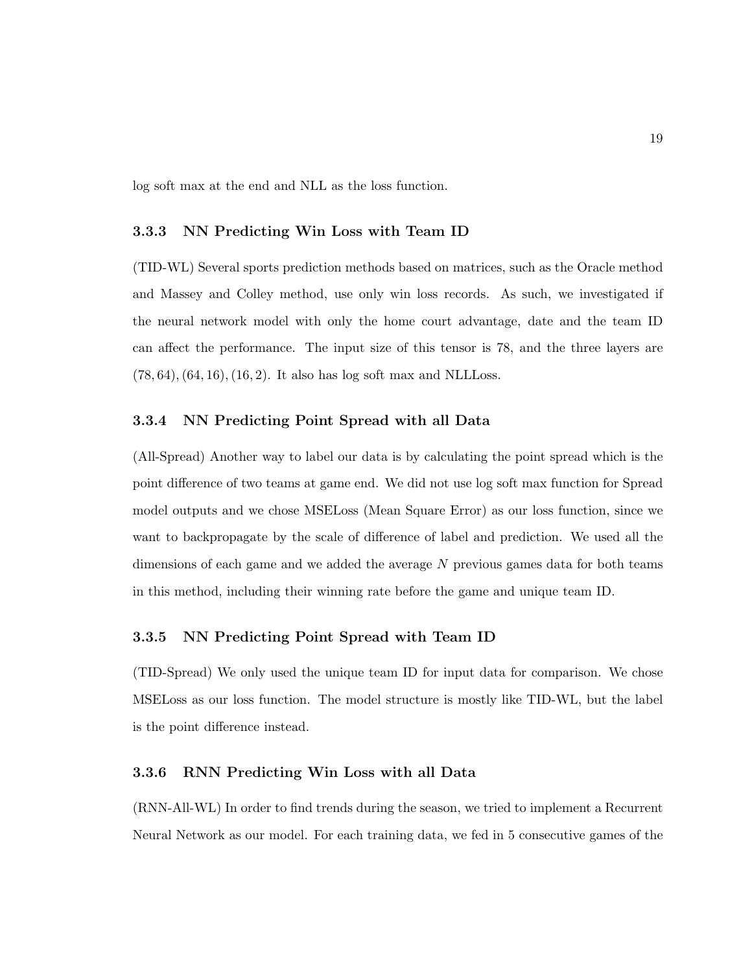log soft max at the end and NLL as the loss function.

#### 3.3.3 NN Predicting Win Loss with Team ID

(TID-WL) Several sports prediction methods based on matrices, such as the Oracle method and Massey and Colley method, use only win loss records. As such, we investigated if the neural network model with only the home court advantage, date and the team ID can affect the performance. The input size of this tensor is 78, and the three layers are  $(78, 64), (64, 16), (16, 2).$  It also has log soft max and NLLLoss.

#### 3.3.4 NN Predicting Point Spread with all Data

(All-Spread) Another way to label our data is by calculating the point spread which is the point difference of two teams at game end. We did not use log soft max function for Spread model outputs and we chose MSELoss (Mean Square Error) as our loss function, since we want to backpropagate by the scale of difference of label and prediction. We used all the dimensions of each game and we added the average N previous games data for both teams in this method, including their winning rate before the game and unique team ID.

#### 3.3.5 NN Predicting Point Spread with Team ID

(TID-Spread) We only used the unique team ID for input data for comparison. We chose MSELoss as our loss function. The model structure is mostly like TID-WL, but the label is the point difference instead.

#### 3.3.6 RNN Predicting Win Loss with all Data

(RNN-All-WL) In order to find trends during the season, we tried to implement a Recurrent Neural Network as our model. For each training data, we fed in 5 consecutive games of the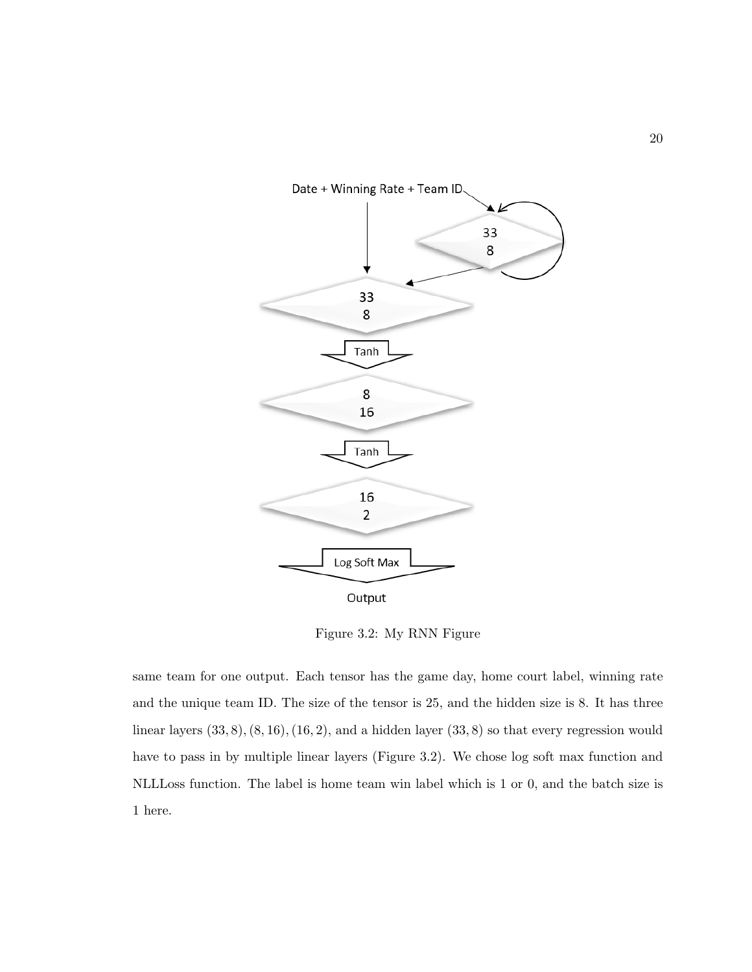

Figure 3.2: My RNN Figure

same team for one output. Each tensor has the game day, home court label, winning rate and the unique team ID. The size of the tensor is 25, and the hidden size is 8. It has three linear layers  $(33, 8)$ ,  $(8, 16)$ ,  $(16, 2)$ , and a hidden layer  $(33, 8)$  so that every regression would have to pass in by multiple linear layers (Figure 3.2). We chose log soft max function and NLLLoss function. The label is home team win label which is 1 or 0, and the batch size is 1 here.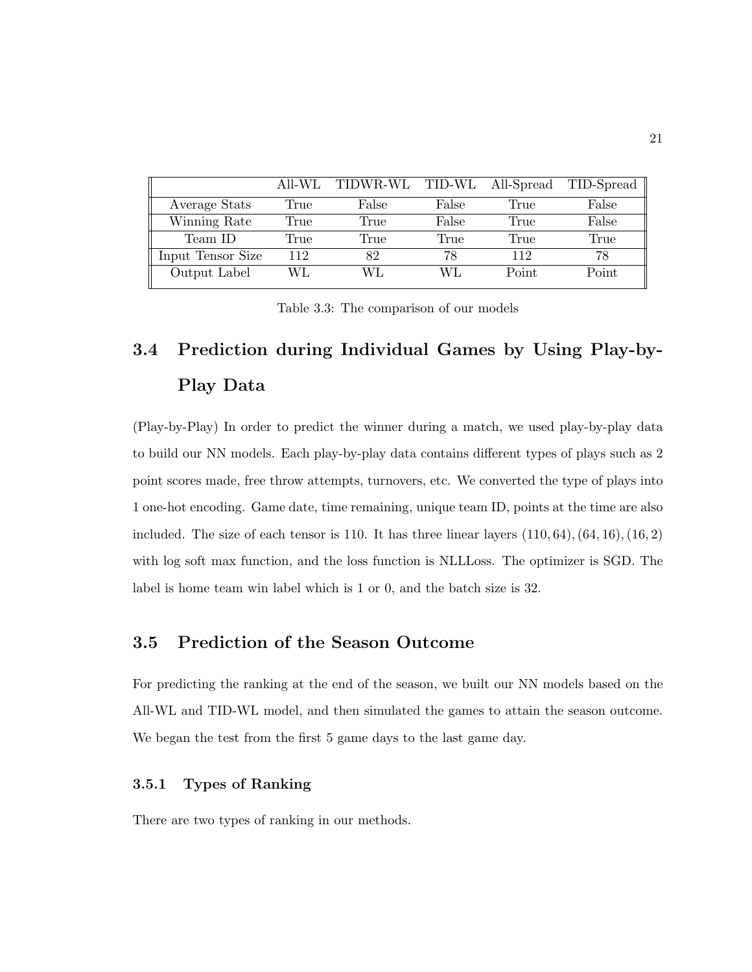|                   | All-WL | TIDWR-WL TID-WL |       |       | All-Spread TID-Spread |
|-------------------|--------|-----------------|-------|-------|-----------------------|
| Average Stats     | True   | False           | False | True  | False                 |
| Winning Rate      | True   | True            | False | True  | False                 |
| Team ID           | True   | True            | True  | True  | True                  |
| Input Tensor Size | 112    | 82              | 78    | 119   | 78                    |
| Output Label      | WL     | WL.             | W L   | Point | Point                 |

Table 3.3: The comparison of our models

# 3.4 Prediction during Individual Games by Using Play-by-Play Data

(Play-by-Play) In order to predict the winner during a match, we used play-by-play data to build our NN models. Each play-by-play data contains different types of plays such as 2 point scores made, free throw attempts, turnovers, etc. We converted the type of plays into 1 one-hot encoding. Game date, time remaining, unique team ID, points at the time are also included. The size of each tensor is 110. It has three linear layers  $(110, 64)$ ,  $(64, 16)$ ,  $(16, 2)$ with log soft max function, and the loss function is NLLLoss. The optimizer is SGD. The label is home team win label which is 1 or 0, and the batch size is 32.

### 3.5 Prediction of the Season Outcome

For predicting the ranking at the end of the season, we built our NN models based on the All-WL and TID-WL model, and then simulated the games to attain the season outcome. We began the test from the first 5 game days to the last game day.

#### 3.5.1 Types of Ranking

There are two types of ranking in our methods.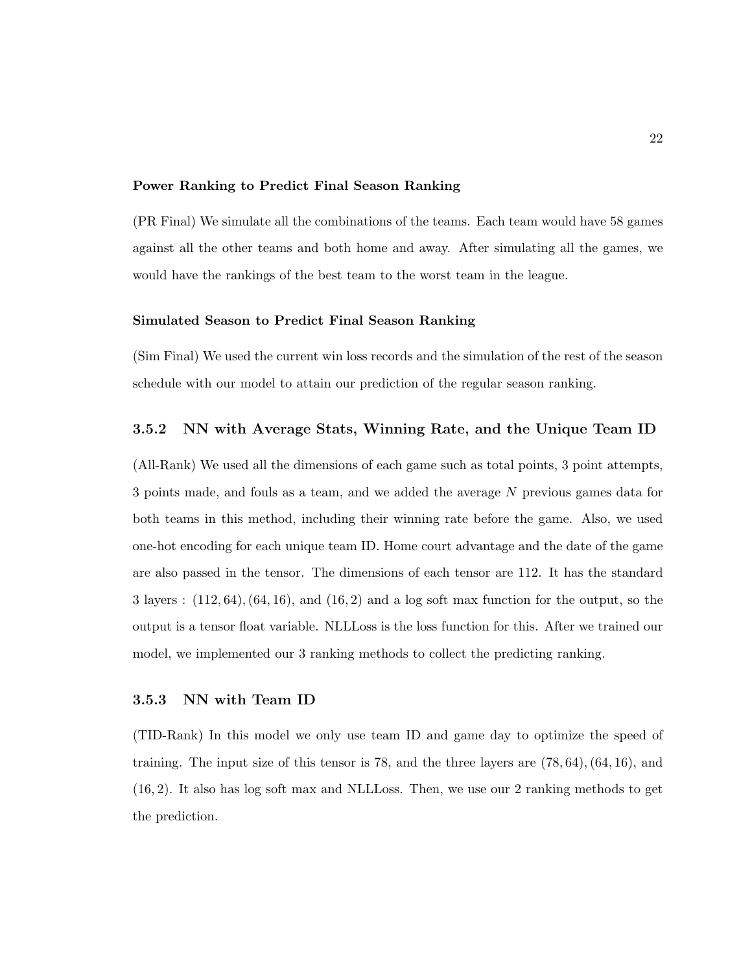#### Power Ranking to Predict Final Season Ranking

(PR Final) We simulate all the combinations of the teams. Each team would have 58 games against all the other teams and both home and away. After simulating all the games, we would have the rankings of the best team to the worst team in the league.

#### Simulated Season to Predict Final Season Ranking

(Sim Final) We used the current win loss records and the simulation of the rest of the season schedule with our model to attain our prediction of the regular season ranking.

#### 3.5.2 NN with Average Stats, Winning Rate, and the Unique Team ID

(All-Rank) We used all the dimensions of each game such as total points, 3 point attempts, 3 points made, and fouls as a team, and we added the average N previous games data for both teams in this method, including their winning rate before the game. Also, we used one-hot encoding for each unique team ID. Home court advantage and the date of the game are also passed in the tensor. The dimensions of each tensor are 112. It has the standard 3 layers :  $(112, 64)$ ,  $(64, 16)$ , and  $(16, 2)$  and a log soft max function for the output, so the output is a tensor float variable. NLLLoss is the loss function for this. After we trained our model, we implemented our 3 ranking methods to collect the predicting ranking.

#### 3.5.3 NN with Team ID

(TID-Rank) In this model we only use team ID and game day to optimize the speed of training. The input size of this tensor is 78, and the three layers are  $(78, 64)$ ,  $(64, 16)$ , and (16, 2). It also has log soft max and NLLLoss. Then, we use our 2 ranking methods to get the prediction.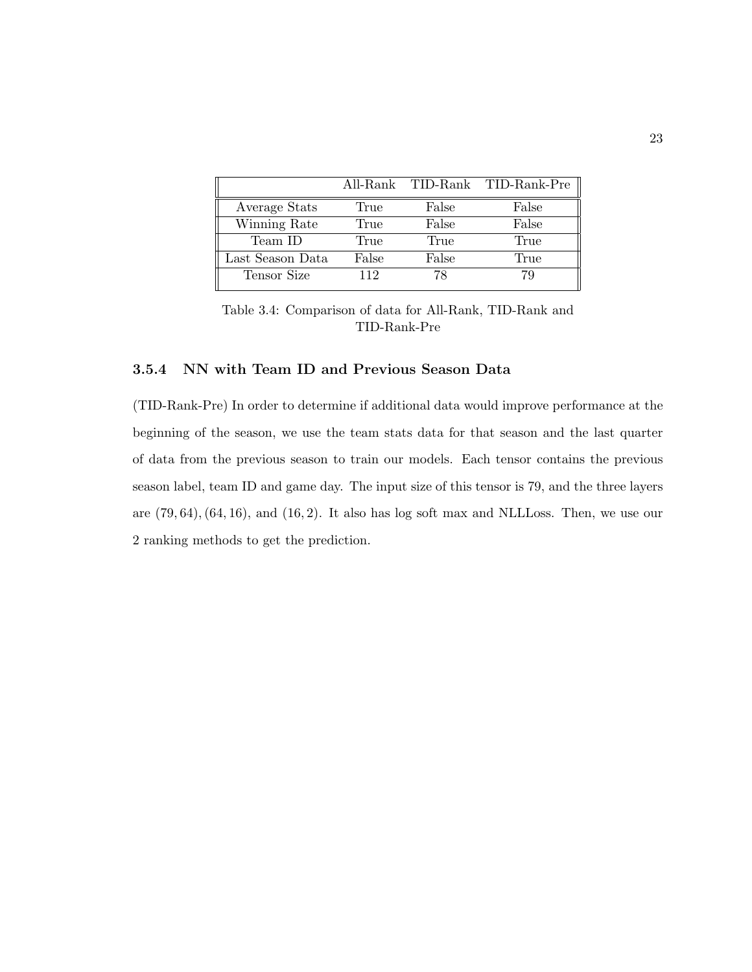|                  |       |       | All-Rank TID-Rank TID-Rank-Pre |
|------------------|-------|-------|--------------------------------|
| Average Stats    | True  | False | False                          |
| Winning Rate     | True  | False | False                          |
| Team ID          | True  | True  | True                           |
| Last Season Data | False | False | True                           |
| Tensor Size      | 112   | 78    | 79                             |

Table 3.4: Comparison of data for All-Rank, TID-Rank and TID-Rank-Pre

#### 3.5.4 NN with Team ID and Previous Season Data

(TID-Rank-Pre) In order to determine if additional data would improve performance at the beginning of the season, we use the team stats data for that season and the last quarter of data from the previous season to train our models. Each tensor contains the previous season label, team ID and game day. The input size of this tensor is 79, and the three layers are  $(79, 64)$ ,  $(64, 16)$ , and  $(16, 2)$ . It also has log soft max and NLLLoss. Then, we use our 2 ranking methods to get the prediction.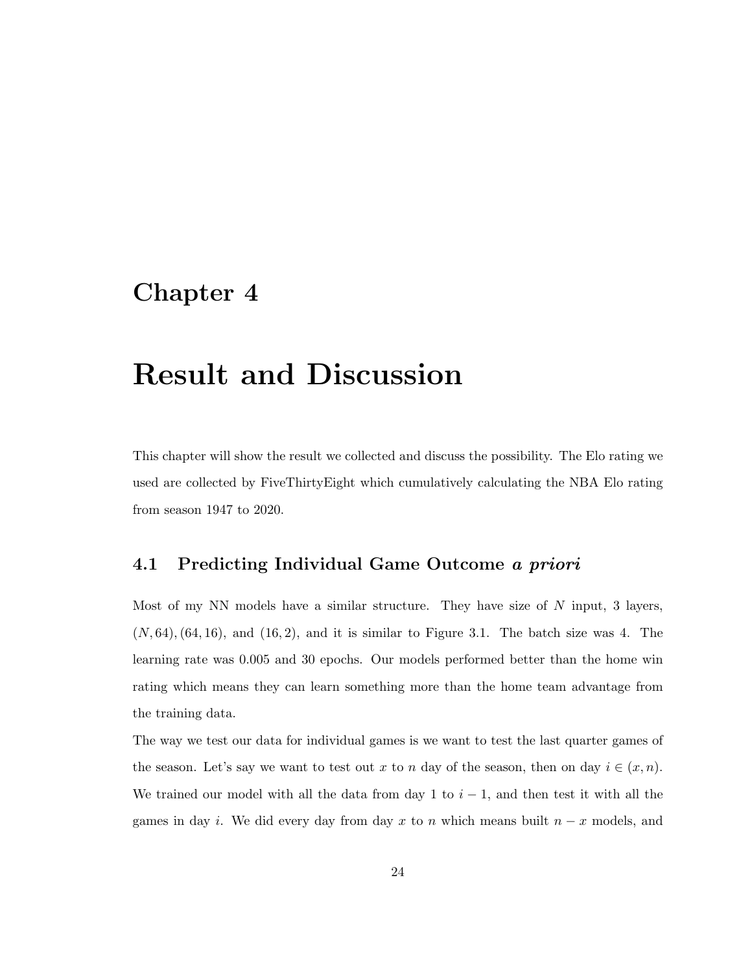# Chapter 4

# Result and Discussion

This chapter will show the result we collected and discuss the possibility. The Elo rating we used are collected by FiveThirtyEight which cumulatively calculating the NBA Elo rating from season 1947 to 2020.

### 4.1 Predicting Individual Game Outcome a priori

Most of my NN models have a similar structure. They have size of  $N$  input, 3 layers,  $(N, 64)$ ,  $(64, 16)$ , and  $(16, 2)$ , and it is similar to Figure 3.1. The batch size was 4. The learning rate was 0.005 and 30 epochs. Our models performed better than the home win rating which means they can learn something more than the home team advantage from the training data.

The way we test our data for individual games is we want to test the last quarter games of the season. Let's say we want to test out x to n day of the season, then on day  $i \in (x, n)$ . We trained our model with all the data from day 1 to  $i-1$ , and then test it with all the games in day i. We did every day from day x to n which means built  $n - x$  models, and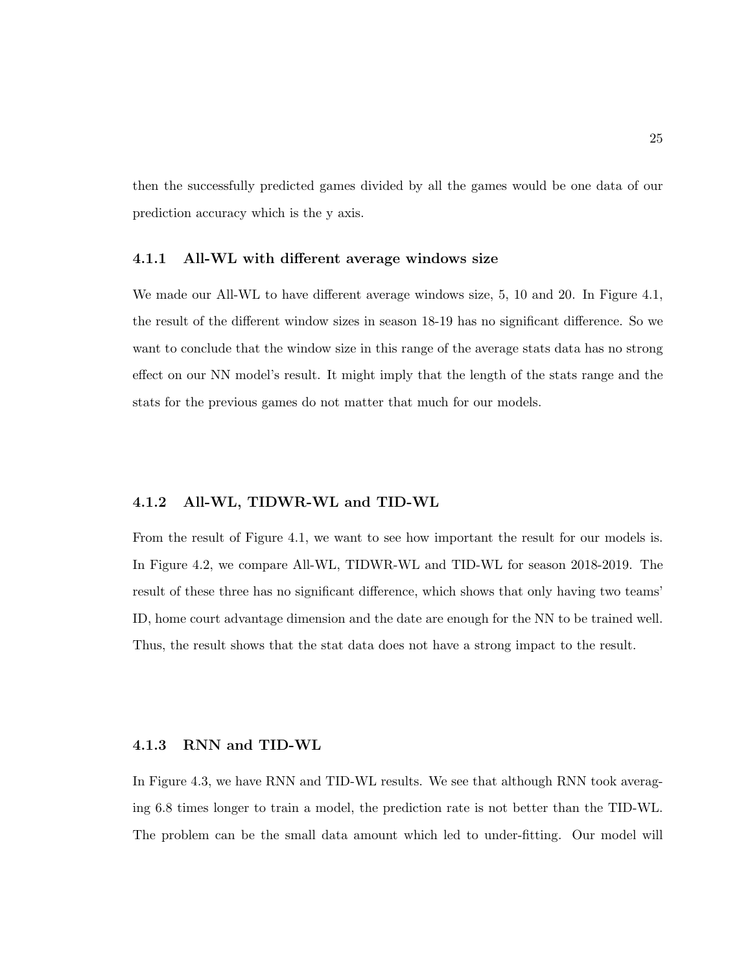then the successfully predicted games divided by all the games would be one data of our prediction accuracy which is the y axis.

#### 4.1.1 All-WL with different average windows size

We made our All-WL to have different average windows size, 5, 10 and 20. In Figure 4.1, the result of the different window sizes in season 18-19 has no significant difference. So we want to conclude that the window size in this range of the average stats data has no strong effect on our NN model's result. It might imply that the length of the stats range and the stats for the previous games do not matter that much for our models.

#### 4.1.2 All-WL, TIDWR-WL and TID-WL

From the result of Figure 4.1, we want to see how important the result for our models is. In Figure 4.2, we compare All-WL, TIDWR-WL and TID-WL for season 2018-2019. The result of these three has no significant difference, which shows that only having two teams' ID, home court advantage dimension and the date are enough for the NN to be trained well. Thus, the result shows that the stat data does not have a strong impact to the result.

#### 4.1.3 RNN and TID-WL

In Figure 4.3, we have RNN and TID-WL results. We see that although RNN took averaging 6.8 times longer to train a model, the prediction rate is not better than the TID-WL. The problem can be the small data amount which led to under-fitting. Our model will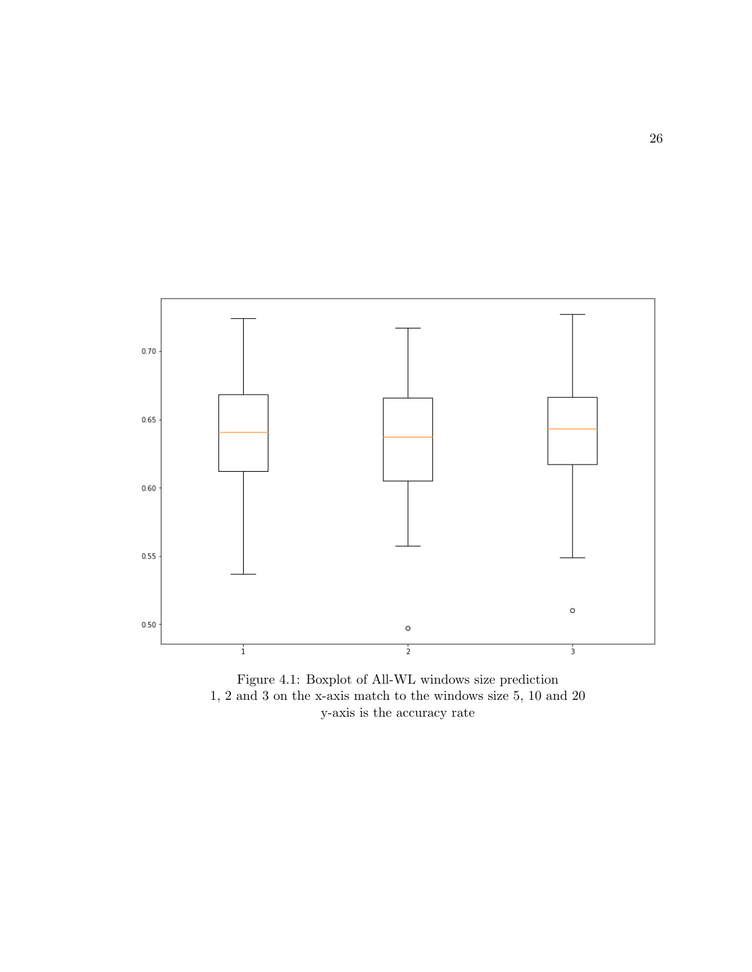

Figure 4.1: Boxplot of All-WL windows size prediction 1, 2 and 3 on the x-axis match to the windows size 5, 10 and 20 y-axis is the accuracy rate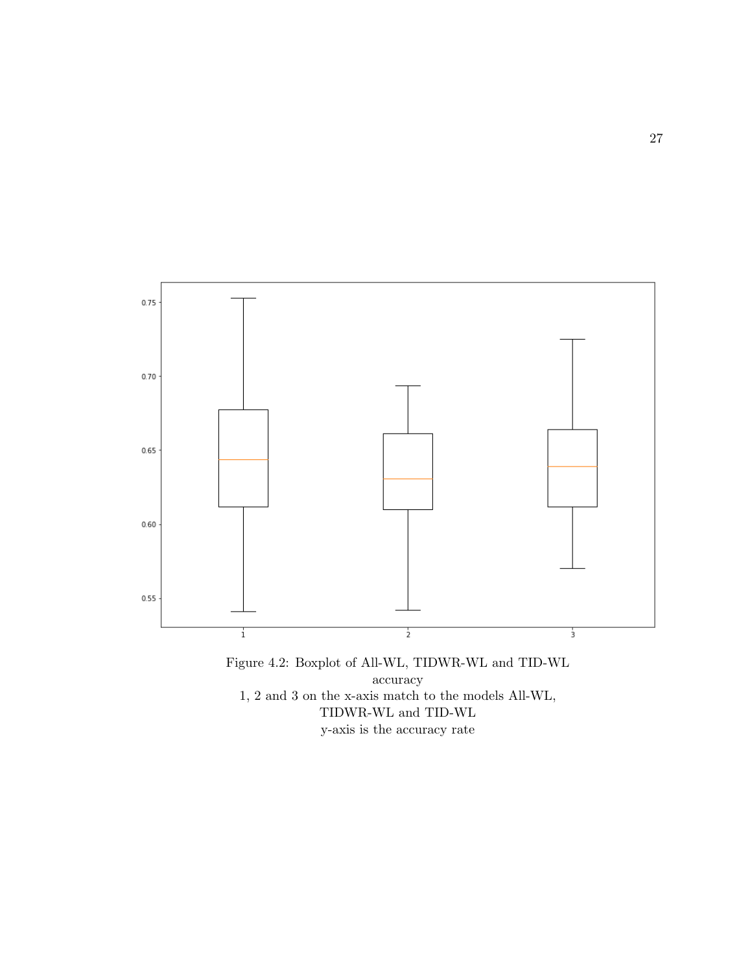

Figure 4.2: Boxplot of All-WL, TIDWR-WL and TID-WL accuracy 1, 2 and 3 on the x-axis match to the models All-WL, TIDWR-WL and TID-WL y-axis is the accuracy rate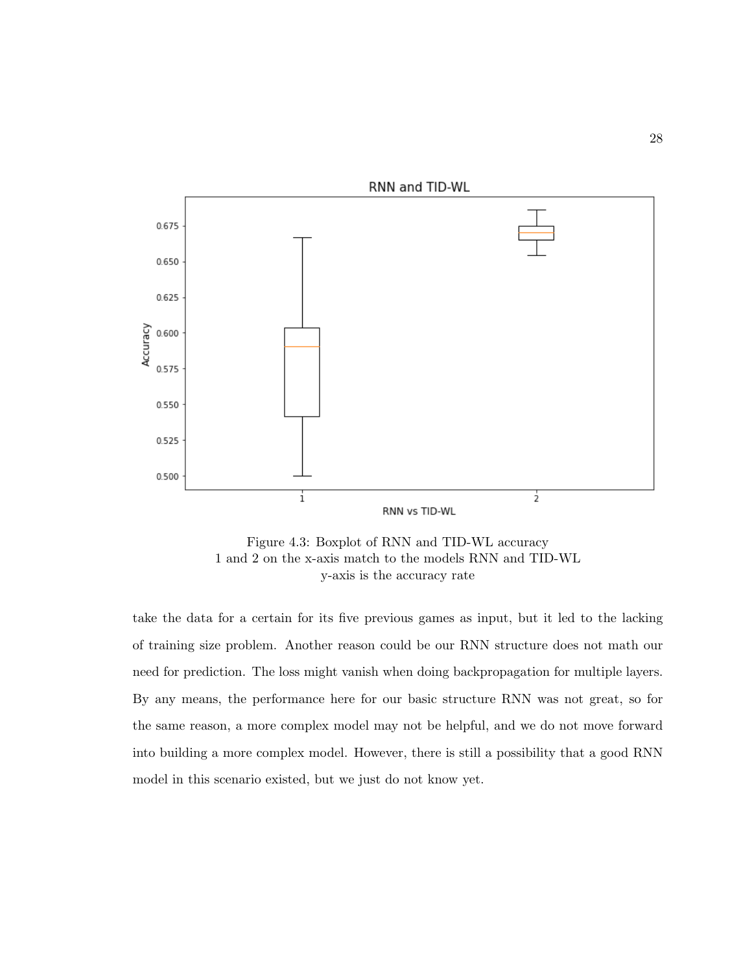

Figure 4.3: Boxplot of RNN and TID-WL accuracy 1 and 2 on the x-axis match to the models RNN and TID-WL y-axis is the accuracy rate

take the data for a certain for its five previous games as input, but it led to the lacking of training size problem. Another reason could be our RNN structure does not math our need for prediction. The loss might vanish when doing backpropagation for multiple layers. By any means, the performance here for our basic structure RNN was not great, so for the same reason, a more complex model may not be helpful, and we do not move forward into building a more complex model. However, there is still a possibility that a good RNN model in this scenario existed, but we just do not know yet.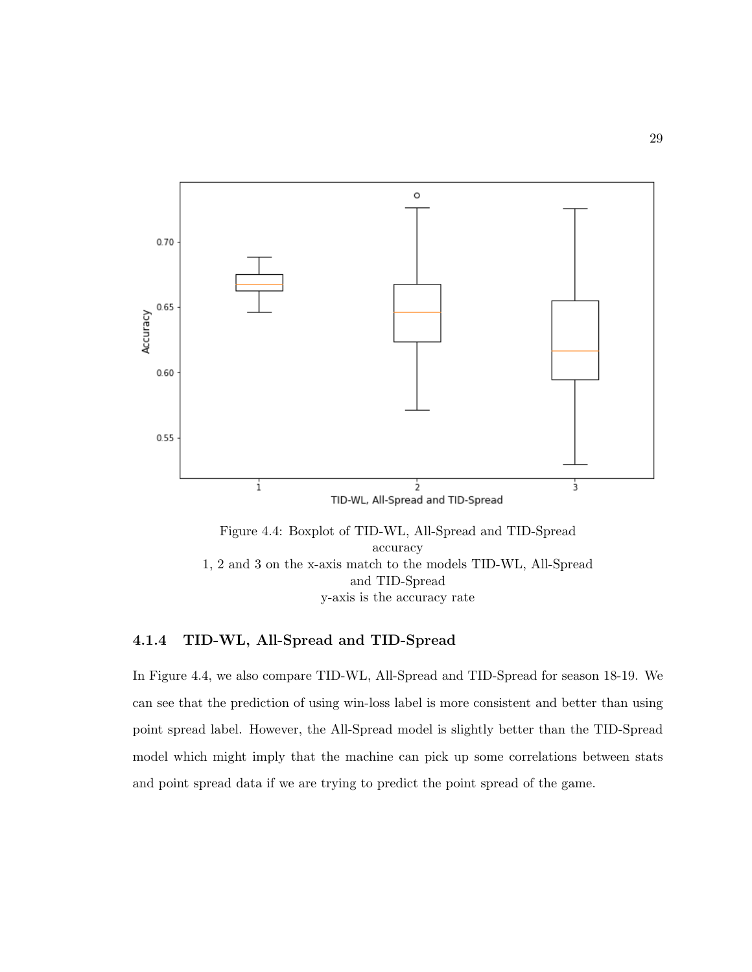

Figure 4.4: Boxplot of TID-WL, All-Spread and TID-Spread accuracy 1, 2 and 3 on the x-axis match to the models TID-WL, All-Spread and TID-Spread y-axis is the accuracy rate

#### 4.1.4 TID-WL, All-Spread and TID-Spread

In Figure 4.4, we also compare TID-WL, All-Spread and TID-Spread for season 18-19. We can see that the prediction of using win-loss label is more consistent and better than using point spread label. However, the All-Spread model is slightly better than the TID-Spread model which might imply that the machine can pick up some correlations between stats and point spread data if we are trying to predict the point spread of the game.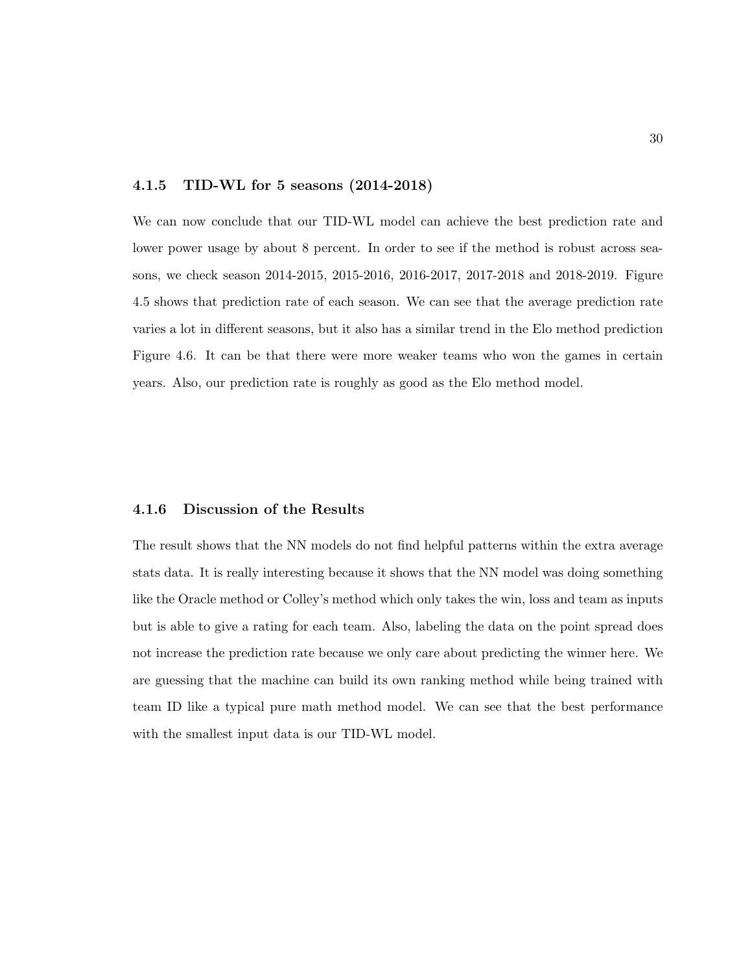#### 4.1.5 TID-WL for 5 seasons (2014-2018)

We can now conclude that our TID-WL model can achieve the best prediction rate and lower power usage by about 8 percent. In order to see if the method is robust across seasons, we check season 2014-2015, 2015-2016, 2016-2017, 2017-2018 and 2018-2019. Figure 4.5 shows that prediction rate of each season. We can see that the average prediction rate varies a lot in different seasons, but it also has a similar trend in the Elo method prediction Figure 4.6. It can be that there were more weaker teams who won the games in certain years. Also, our prediction rate is roughly as good as the Elo method model.

#### 4.1.6 Discussion of the Results

The result shows that the NN models do not find helpful patterns within the extra average stats data. It is really interesting because it shows that the NN model was doing something like the Oracle method or Colley's method which only takes the win, loss and team as inputs but is able to give a rating for each team. Also, labeling the data on the point spread does not increase the prediction rate because we only care about predicting the winner here. We are guessing that the machine can build its own ranking method while being trained with team ID like a typical pure math method model. We can see that the best performance with the smallest input data is our TID-WL model.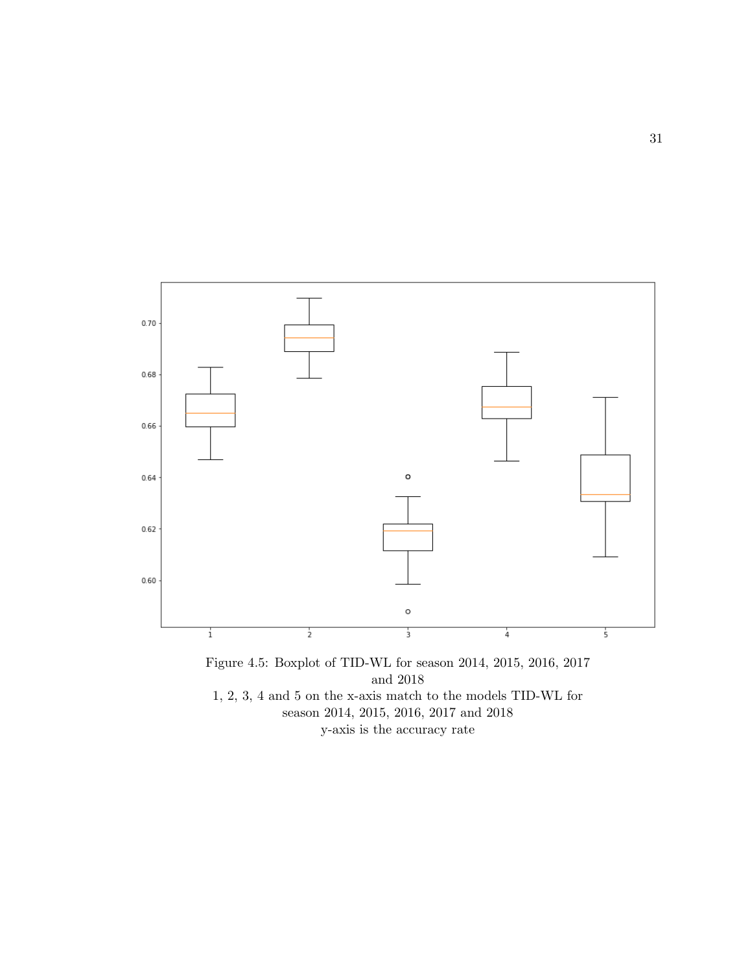

1, 2, 3, 4 and 5 on the x-axis match to the models TID-WL for season 2014, 2015, 2016, 2017 and 2018 y-axis is the accuracy rate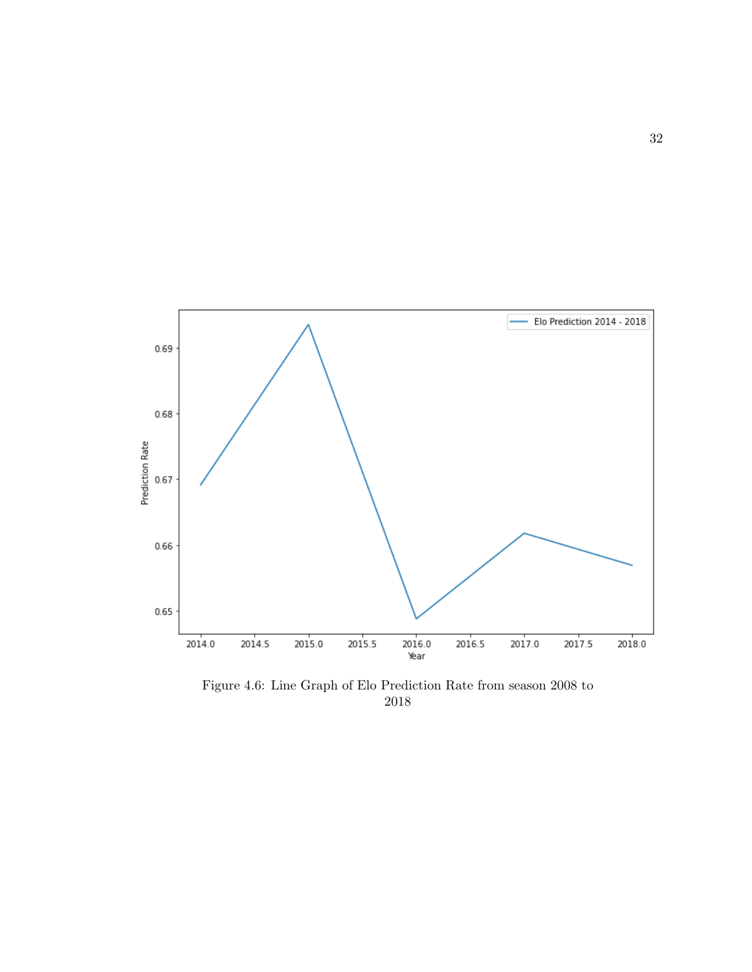

Figure 4.6: Line Graph of Elo Prediction Rate from season 2008 to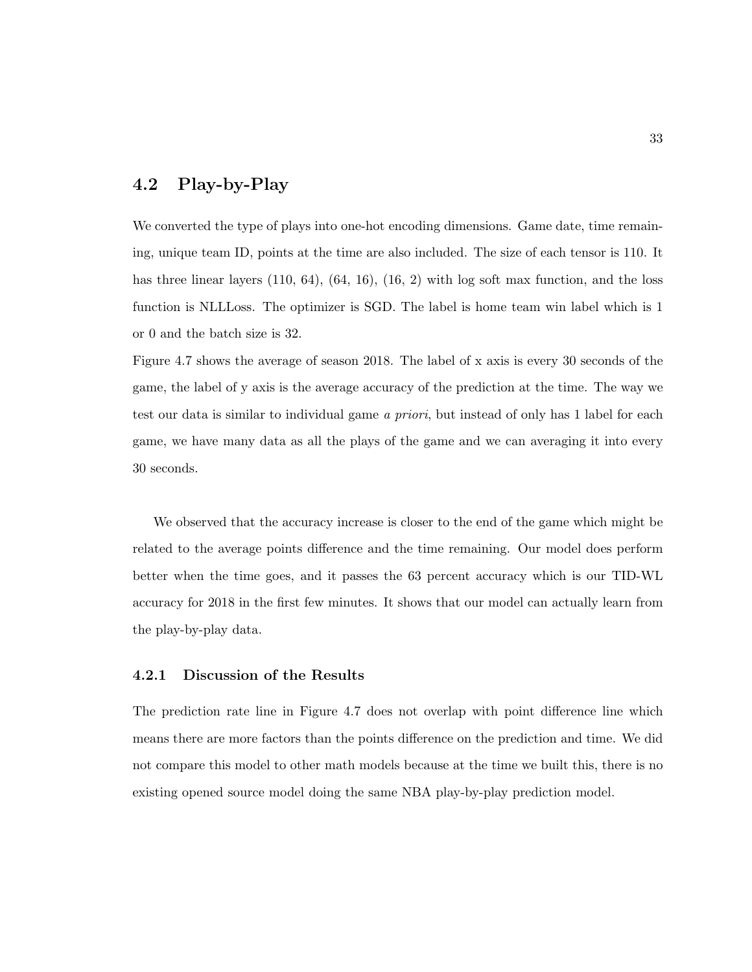### 4.2 Play-by-Play

We converted the type of plays into one-hot encoding dimensions. Game date, time remaining, unique team ID, points at the time are also included. The size of each tensor is 110. It has three linear layers  $(110, 64)$ ,  $(64, 16)$ ,  $(16, 2)$  with log soft max function, and the loss function is NLLLoss. The optimizer is SGD. The label is home team win label which is 1 or 0 and the batch size is 32.

Figure 4.7 shows the average of season 2018. The label of x axis is every 30 seconds of the game, the label of y axis is the average accuracy of the prediction at the time. The way we test our data is similar to individual game a priori, but instead of only has 1 label for each game, we have many data as all the plays of the game and we can averaging it into every 30 seconds.

We observed that the accuracy increase is closer to the end of the game which might be related to the average points difference and the time remaining. Our model does perform better when the time goes, and it passes the 63 percent accuracy which is our TID-WL accuracy for 2018 in the first few minutes. It shows that our model can actually learn from the play-by-play data.

#### 4.2.1 Discussion of the Results

The prediction rate line in Figure 4.7 does not overlap with point difference line which means there are more factors than the points difference on the prediction and time. We did not compare this model to other math models because at the time we built this, there is no existing opened source model doing the same NBA play-by-play prediction model.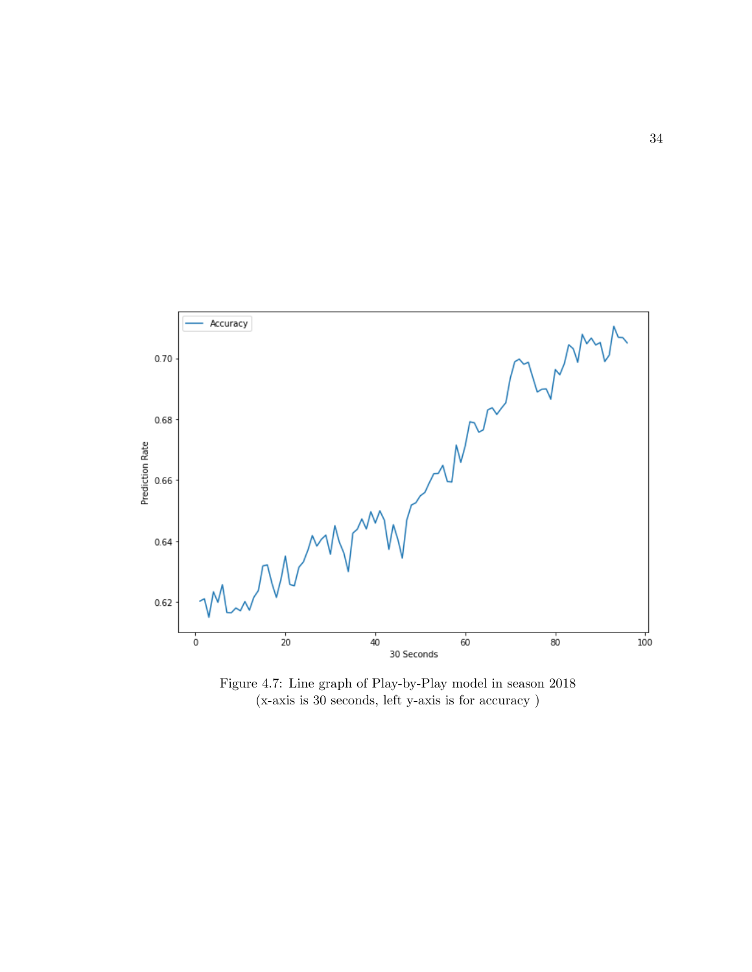

Figure 4.7: Line graph of Play-by-Play model in season 2018 (x-axis is 30 seconds, left y-axis is for accuracy )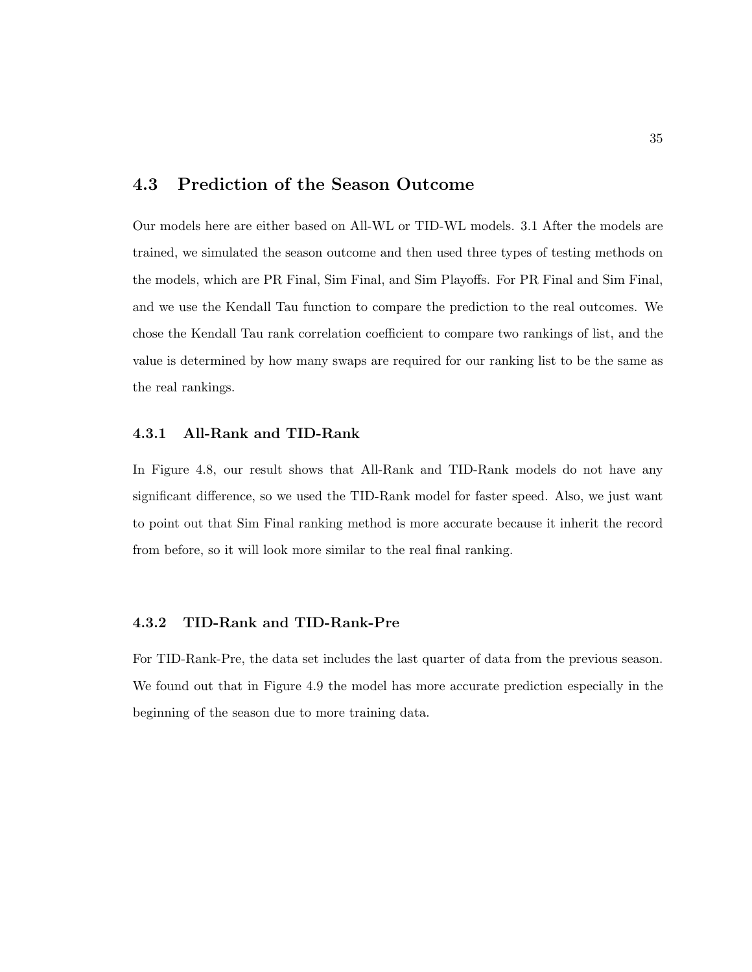### 4.3 Prediction of the Season Outcome

Our models here are either based on All-WL or TID-WL models. 3.1 After the models are trained, we simulated the season outcome and then used three types of testing methods on the models, which are PR Final, Sim Final, and Sim Playoffs. For PR Final and Sim Final, and we use the Kendall Tau function to compare the prediction to the real outcomes. We chose the Kendall Tau rank correlation coefficient to compare two rankings of list, and the value is determined by how many swaps are required for our ranking list to be the same as the real rankings.

#### 4.3.1 All-Rank and TID-Rank

In Figure 4.8, our result shows that All-Rank and TID-Rank models do not have any significant difference, so we used the TID-Rank model for faster speed. Also, we just want to point out that Sim Final ranking method is more accurate because it inherit the record from before, so it will look more similar to the real final ranking.

#### 4.3.2 TID-Rank and TID-Rank-Pre

For TID-Rank-Pre, the data set includes the last quarter of data from the previous season. We found out that in Figure 4.9 the model has more accurate prediction especially in the beginning of the season due to more training data.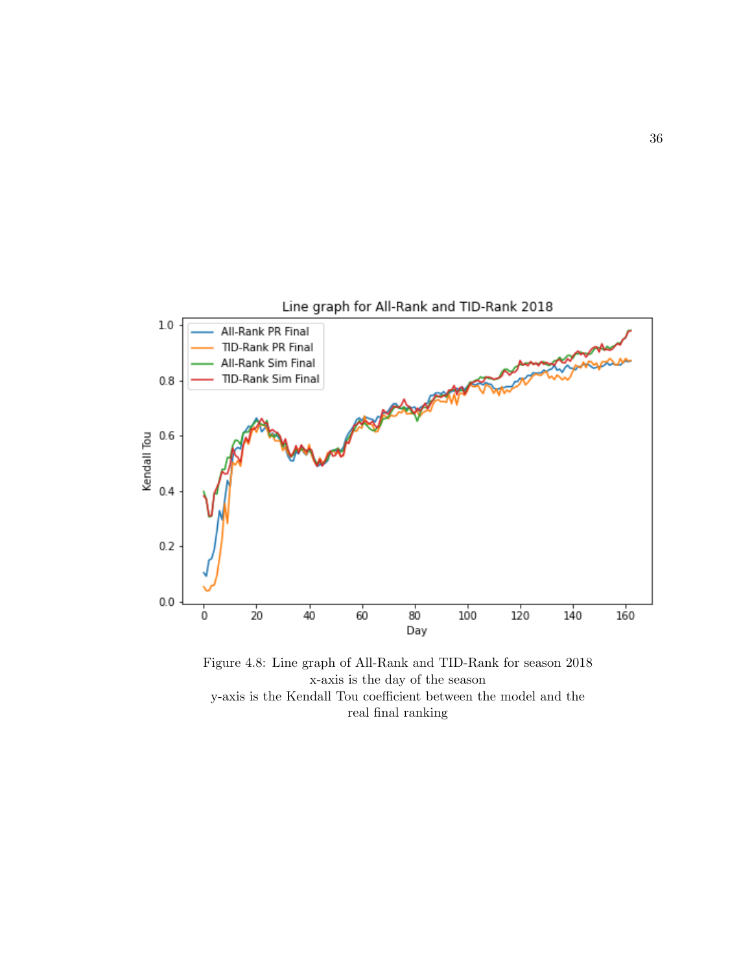

Figure 4.8: Line graph of All-Rank and TID-Rank for season 2018 x-axis is the day of the season y-axis is the Kendall Tou coefficient between the model and the real final ranking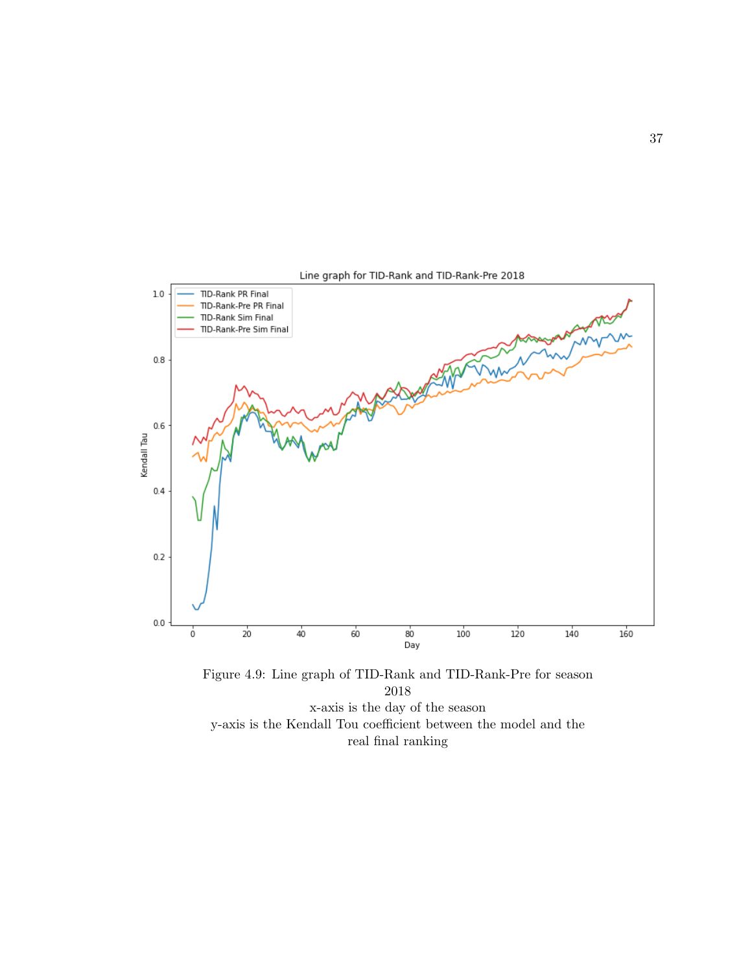

Figure 4.9: Line graph of TID-Rank and TID-Rank-Pre for season 2018 x-axis is the day of the season y-axis is the Kendall Tou coefficient between the model and the real final ranking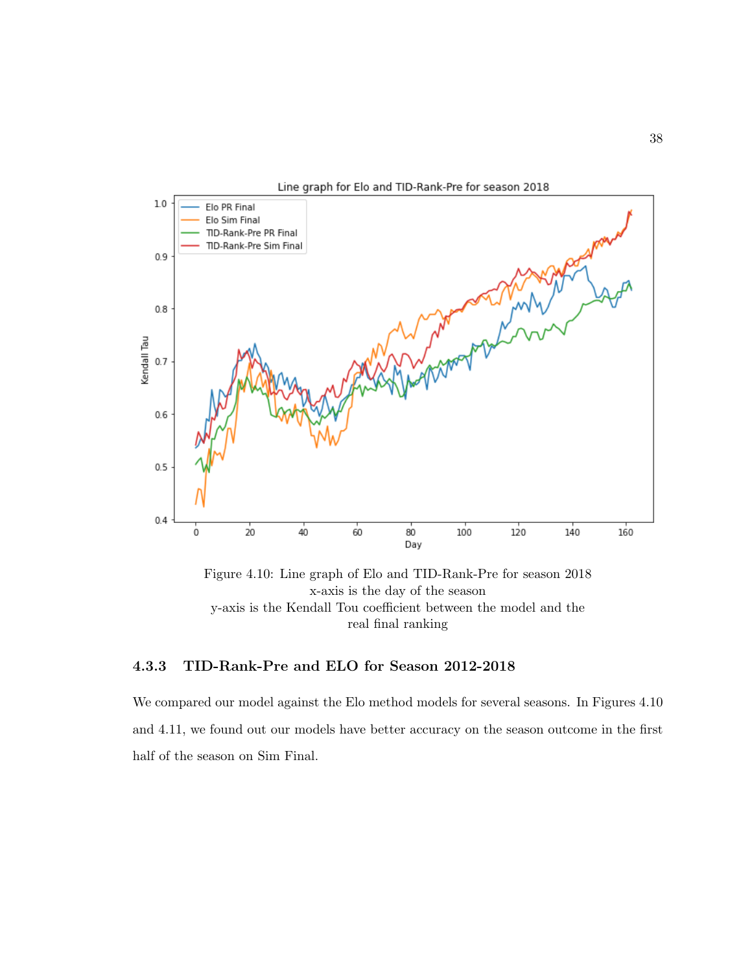

Figure 4.10: Line graph of Elo and TID-Rank-Pre for season 2018 x-axis is the day of the season y-axis is the Kendall Tou coefficient between the model and the real final ranking

#### 4.3.3 TID-Rank-Pre and ELO for Season 2012-2018

We compared our model against the Elo method models for several seasons. In Figures 4.10 and 4.11, we found out our models have better accuracy on the season outcome in the first half of the season on Sim Final.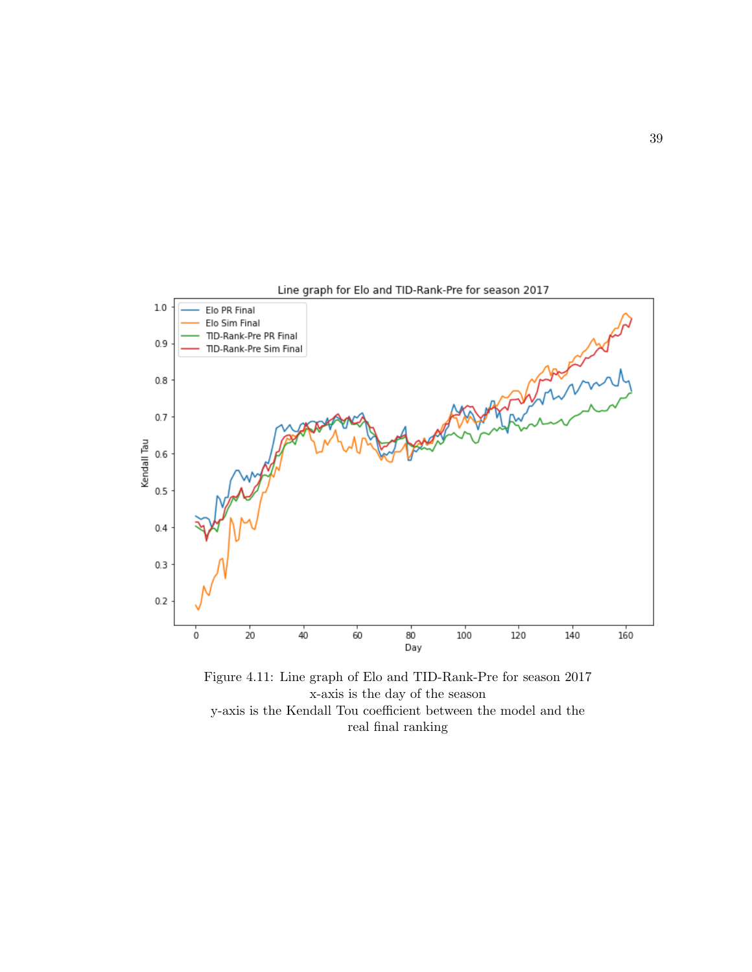

Figure 4.11: Line graph of Elo and TID-Rank-Pre for season 2017 x-axis is the day of the season y-axis is the Kendall Tou coefficient between the model and the real final ranking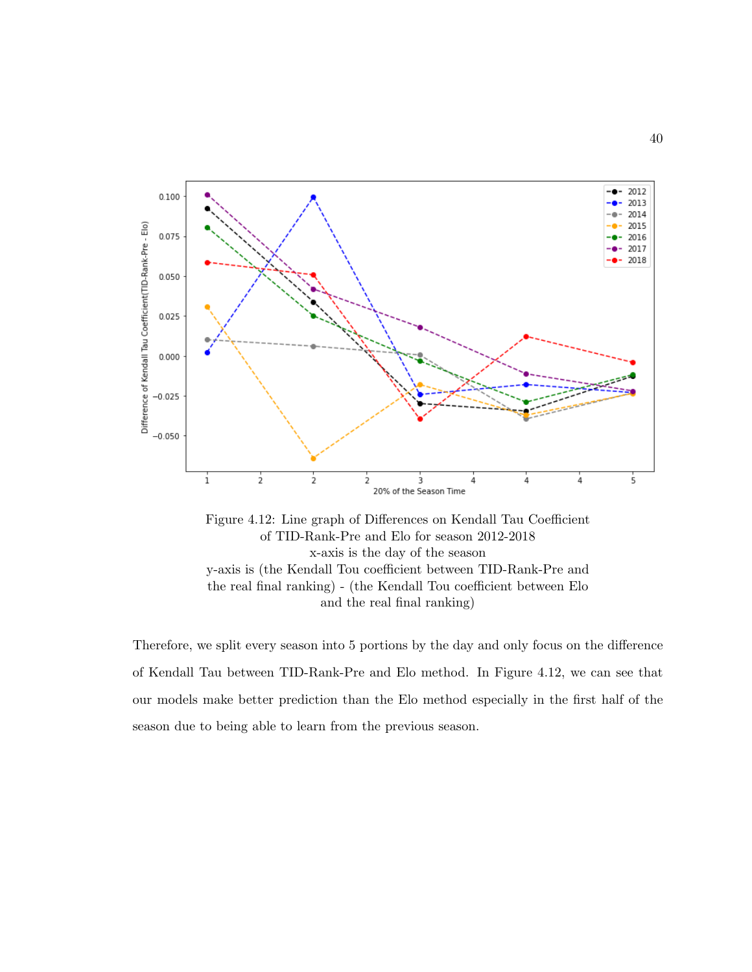

Figure 4.12: Line graph of Differences on Kendall Tau Coefficient of TID-Rank-Pre and Elo for season 2012-2018 x-axis is the day of the season y-axis is (the Kendall Tou coefficient between TID-Rank-Pre and the real final ranking) - (the Kendall Tou coefficient between Elo and the real final ranking)

Therefore, we split every season into 5 portions by the day and only focus on the difference of Kendall Tau between TID-Rank-Pre and Elo method. In Figure 4.12, we can see that our models make better prediction than the Elo method especially in the first half of the season due to being able to learn from the previous season.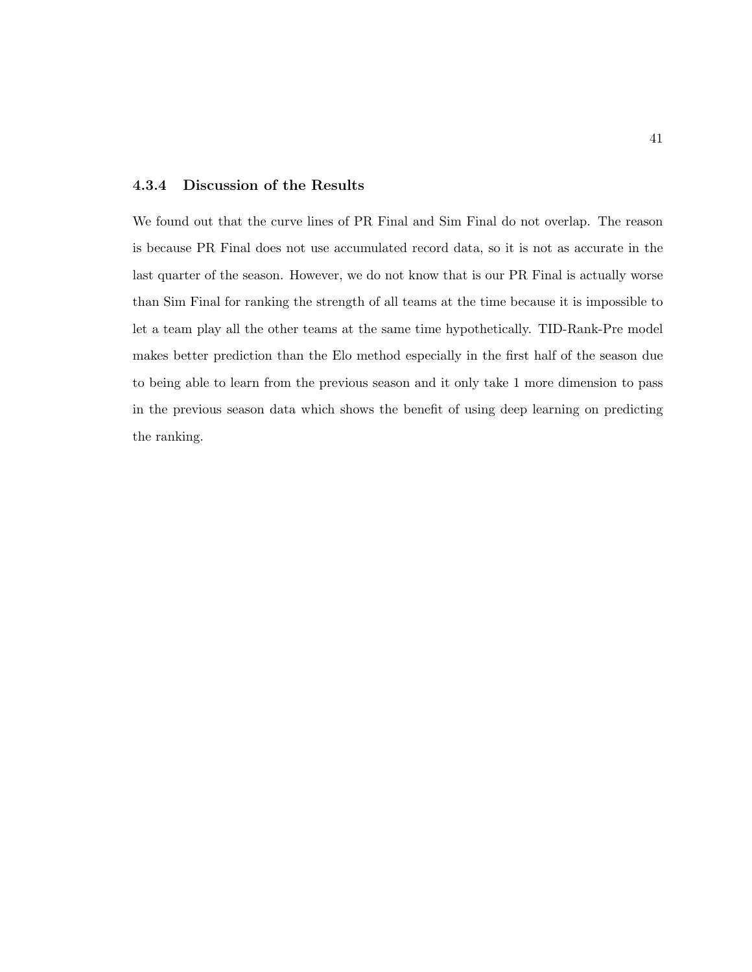#### 4.3.4 Discussion of the Results

We found out that the curve lines of PR Final and Sim Final do not overlap. The reason is because PR Final does not use accumulated record data, so it is not as accurate in the last quarter of the season. However, we do not know that is our PR Final is actually worse than Sim Final for ranking the strength of all teams at the time because it is impossible to let a team play all the other teams at the same time hypothetically. TID-Rank-Pre model makes better prediction than the Elo method especially in the first half of the season due to being able to learn from the previous season and it only take 1 more dimension to pass in the previous season data which shows the benefit of using deep learning on predicting the ranking.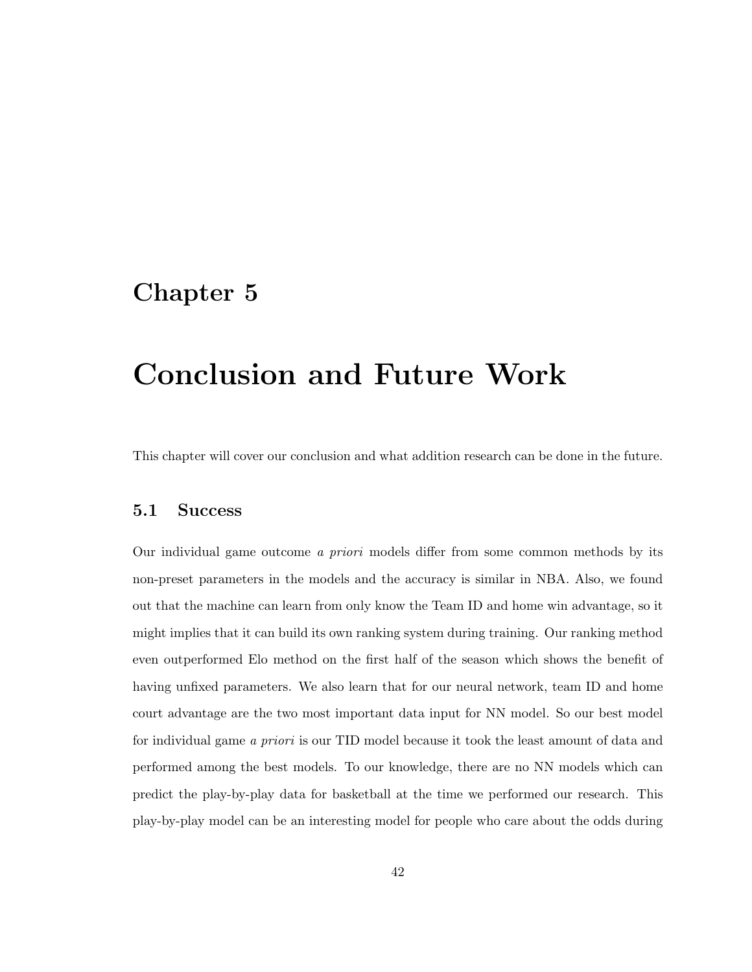# Chapter 5

# Conclusion and Future Work

This chapter will cover our conclusion and what addition research can be done in the future.

#### 5.1 Success

Our individual game outcome a priori models differ from some common methods by its non-preset parameters in the models and the accuracy is similar in NBA. Also, we found out that the machine can learn from only know the Team ID and home win advantage, so it might implies that it can build its own ranking system during training. Our ranking method even outperformed Elo method on the first half of the season which shows the benefit of having unfixed parameters. We also learn that for our neural network, team ID and home court advantage are the two most important data input for NN model. So our best model for individual game a priori is our TID model because it took the least amount of data and performed among the best models. To our knowledge, there are no NN models which can predict the play-by-play data for basketball at the time we performed our research. This play-by-play model can be an interesting model for people who care about the odds during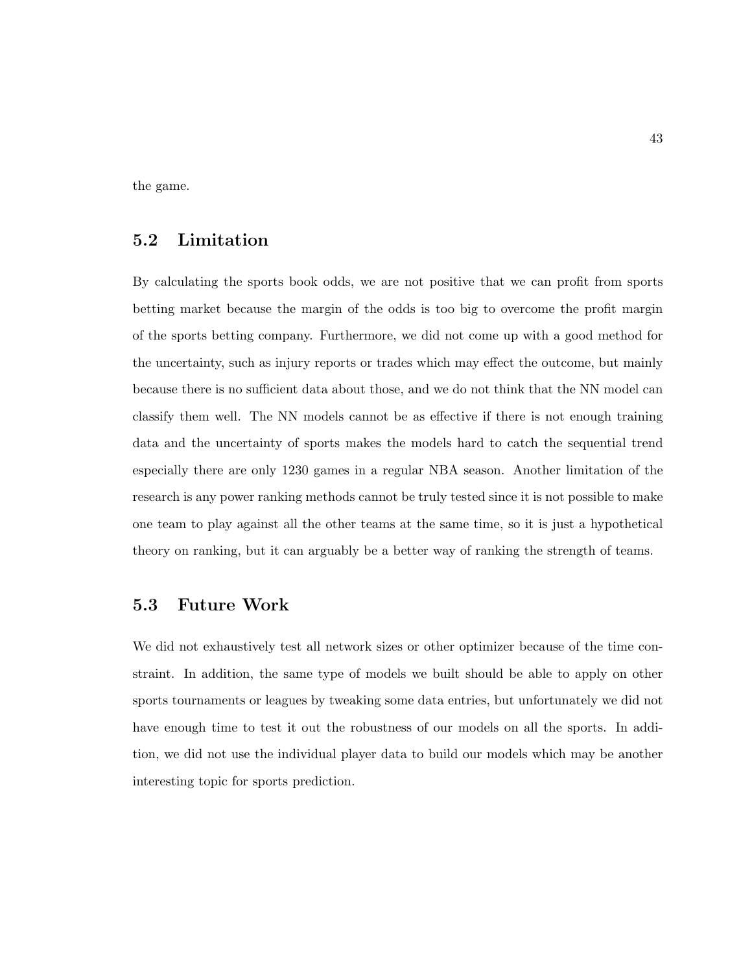the game.

## 5.2 Limitation

By calculating the sports book odds, we are not positive that we can profit from sports betting market because the margin of the odds is too big to overcome the profit margin of the sports betting company. Furthermore, we did not come up with a good method for the uncertainty, such as injury reports or trades which may effect the outcome, but mainly because there is no sufficient data about those, and we do not think that the NN model can classify them well. The NN models cannot be as effective if there is not enough training data and the uncertainty of sports makes the models hard to catch the sequential trend especially there are only 1230 games in a regular NBA season. Another limitation of the research is any power ranking methods cannot be truly tested since it is not possible to make one team to play against all the other teams at the same time, so it is just a hypothetical theory on ranking, but it can arguably be a better way of ranking the strength of teams.

## 5.3 Future Work

We did not exhaustively test all network sizes or other optimizer because of the time constraint. In addition, the same type of models we built should be able to apply on other sports tournaments or leagues by tweaking some data entries, but unfortunately we did not have enough time to test it out the robustness of our models on all the sports. In addition, we did not use the individual player data to build our models which may be another interesting topic for sports prediction.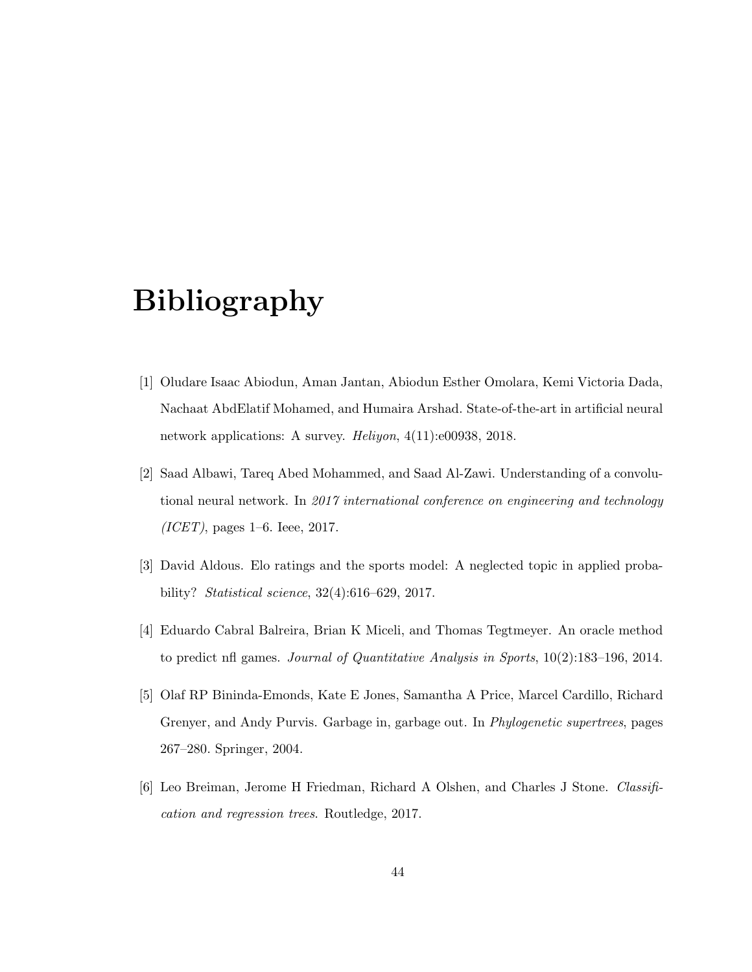# Bibliography

- [1] Oludare Isaac Abiodun, Aman Jantan, Abiodun Esther Omolara, Kemi Victoria Dada, Nachaat AbdElatif Mohamed, and Humaira Arshad. State-of-the-art in artificial neural network applications: A survey. Heliyon, 4(11):e00938, 2018.
- [2] Saad Albawi, Tareq Abed Mohammed, and Saad Al-Zawi. Understanding of a convolutional neural network. In 2017 international conference on engineering and technology  $(ICET)$ , pages 1–6. Ieee, 2017.
- [3] David Aldous. Elo ratings and the sports model: A neglected topic in applied probability? Statistical science, 32(4):616–629, 2017.
- [4] Eduardo Cabral Balreira, Brian K Miceli, and Thomas Tegtmeyer. An oracle method to predict nfl games. Journal of Quantitative Analysis in Sports, 10(2):183–196, 2014.
- [5] Olaf RP Bininda-Emonds, Kate E Jones, Samantha A Price, Marcel Cardillo, Richard Grenyer, and Andy Purvis. Garbage in, garbage out. In Phylogenetic supertrees, pages 267–280. Springer, 2004.
- [6] Leo Breiman, Jerome H Friedman, Richard A Olshen, and Charles J Stone. Classification and regression trees. Routledge, 2017.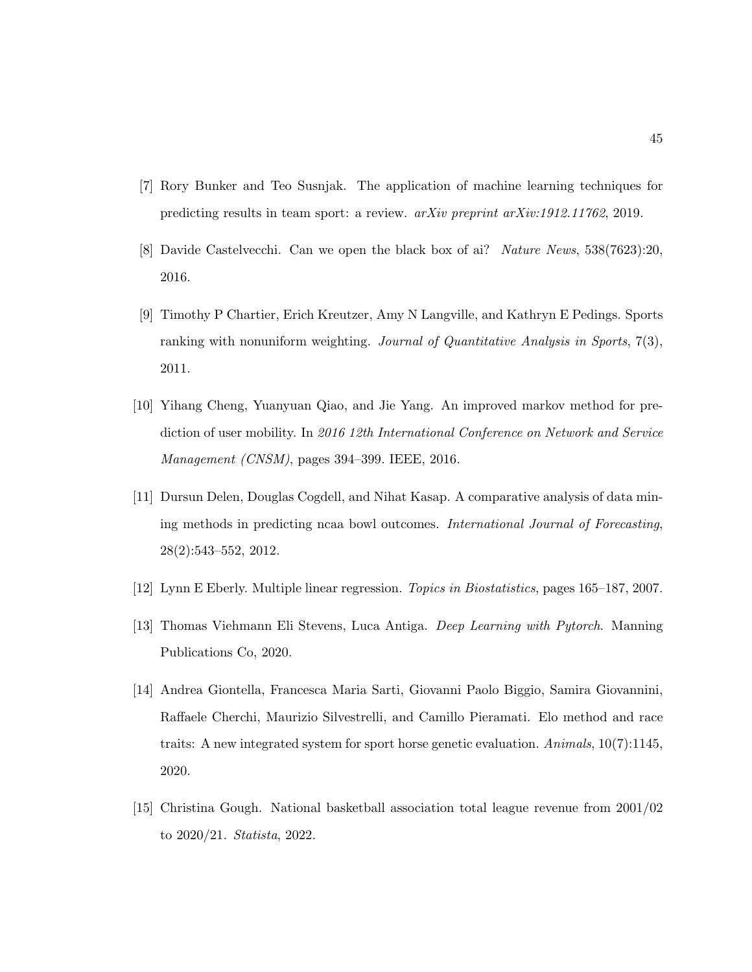- [7] Rory Bunker and Teo Susnjak. The application of machine learning techniques for predicting results in team sport: a review. arXiv preprint arXiv:1912.11762, 2019.
- [8] Davide Castelvecchi. Can we open the black box of ai? Nature News, 538(7623):20, 2016.
- [9] Timothy P Chartier, Erich Kreutzer, Amy N Langville, and Kathryn E Pedings. Sports ranking with nonuniform weighting. Journal of Quantitative Analysis in Sports,  $7(3)$ , 2011.
- [10] Yihang Cheng, Yuanyuan Qiao, and Jie Yang. An improved markov method for prediction of user mobility. In 2016 12th International Conference on Network and Service Management (CNSM), pages 394–399. IEEE, 2016.
- [11] Dursun Delen, Douglas Cogdell, and Nihat Kasap. A comparative analysis of data mining methods in predicting ncaa bowl outcomes. International Journal of Forecasting, 28(2):543–552, 2012.
- [12] Lynn E Eberly. Multiple linear regression. Topics in Biostatistics, pages 165–187, 2007.
- [13] Thomas Viehmann Eli Stevens, Luca Antiga. Deep Learning with Pytorch. Manning Publications Co, 2020.
- [14] Andrea Giontella, Francesca Maria Sarti, Giovanni Paolo Biggio, Samira Giovannini, Raffaele Cherchi, Maurizio Silvestrelli, and Camillo Pieramati. Elo method and race traits: A new integrated system for sport horse genetic evaluation. Animals, 10(7):1145, 2020.
- [15] Christina Gough. National basketball association total league revenue from 2001/02 to 2020/21. Statista, 2022.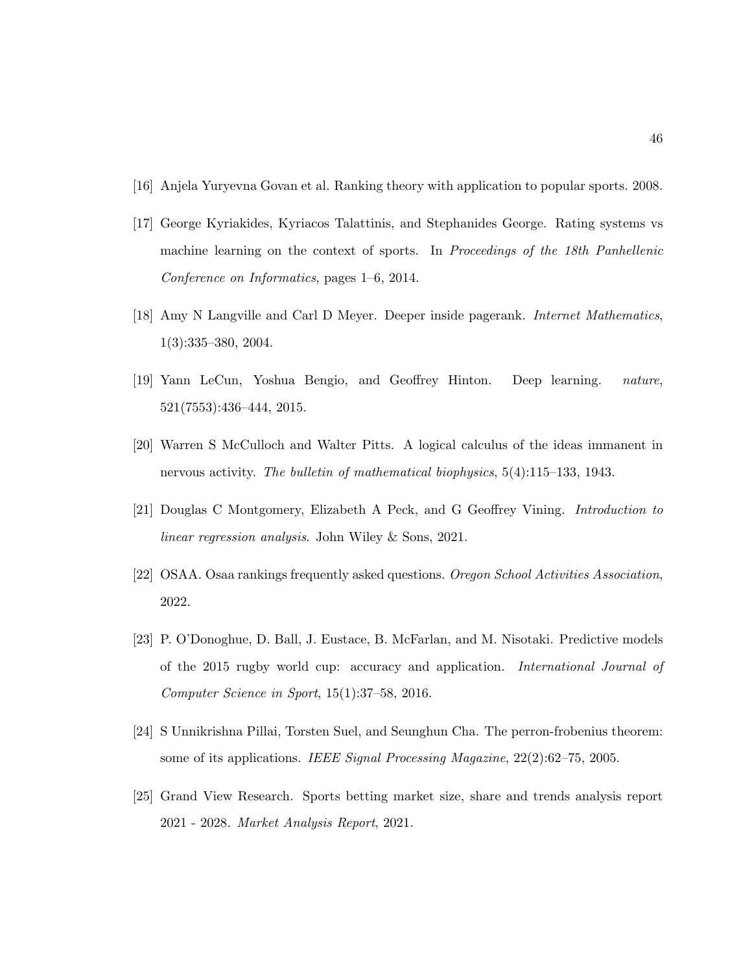- [16] Anjela Yuryevna Govan et al. Ranking theory with application to popular sports. 2008.
- [17] George Kyriakides, Kyriacos Talattinis, and Stephanides George. Rating systems vs machine learning on the context of sports. In Proceedings of the 18th Panhellenic Conference on Informatics, pages 1–6, 2014.
- [18] Amy N Langville and Carl D Meyer. Deeper inside pagerank. Internet Mathematics, 1(3):335–380, 2004.
- [19] Yann LeCun, Yoshua Bengio, and Geoffrey Hinton. Deep learning. nature, 521(7553):436–444, 2015.
- [20] Warren S McCulloch and Walter Pitts. A logical calculus of the ideas immanent in nervous activity. The bulletin of mathematical biophysics, 5(4):115–133, 1943.
- [21] Douglas C Montgomery, Elizabeth A Peck, and G Geoffrey Vining. Introduction to linear regression analysis. John Wiley & Sons, 2021.
- [22] OSAA. Osaa rankings frequently asked questions. Oregon School Activities Association, 2022.
- [23] P. O'Donoghue, D. Ball, J. Eustace, B. McFarlan, and M. Nisotaki. Predictive models of the 2015 rugby world cup: accuracy and application. International Journal of Computer Science in Sport, 15(1):37–58, 2016.
- [24] S Unnikrishna Pillai, Torsten Suel, and Seunghun Cha. The perron-frobenius theorem: some of its applications. IEEE Signal Processing Magazine, 22(2):62–75, 2005.
- [25] Grand View Research. Sports betting market size, share and trends analysis report 2021 - 2028. Market Analysis Report, 2021.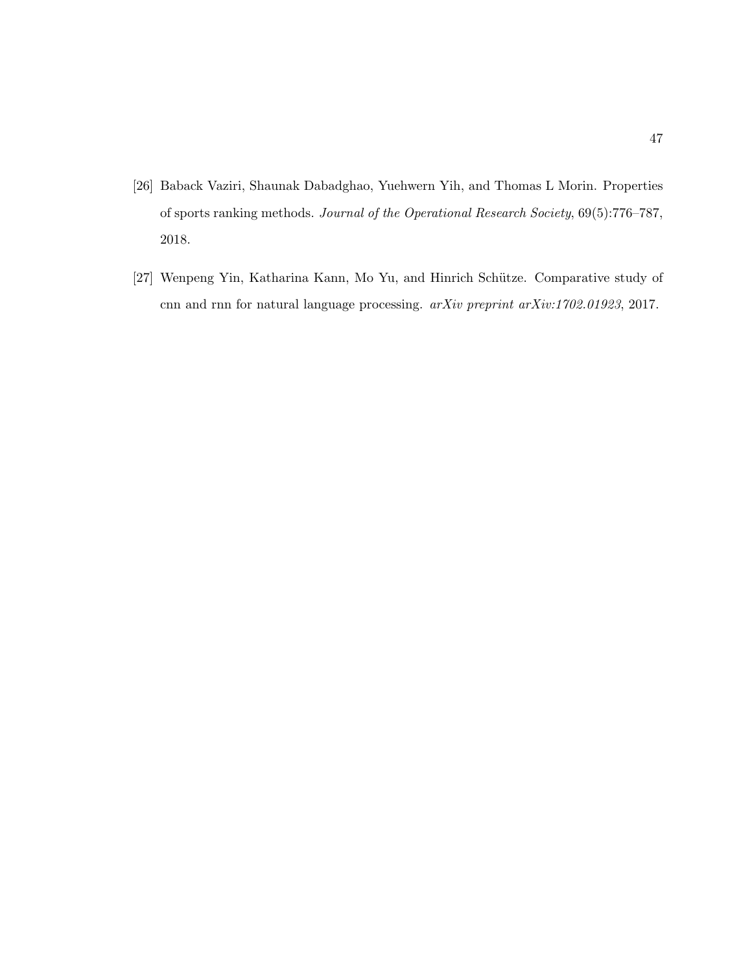- [26] Baback Vaziri, Shaunak Dabadghao, Yuehwern Yih, and Thomas L Morin. Properties of sports ranking methods. Journal of the Operational Research Society, 69(5):776–787, 2018.
- [27] Wenpeng Yin, Katharina Kann, Mo Yu, and Hinrich Schütze. Comparative study of cnn and rnn for natural language processing. arXiv preprint arXiv:1702.01923, 2017.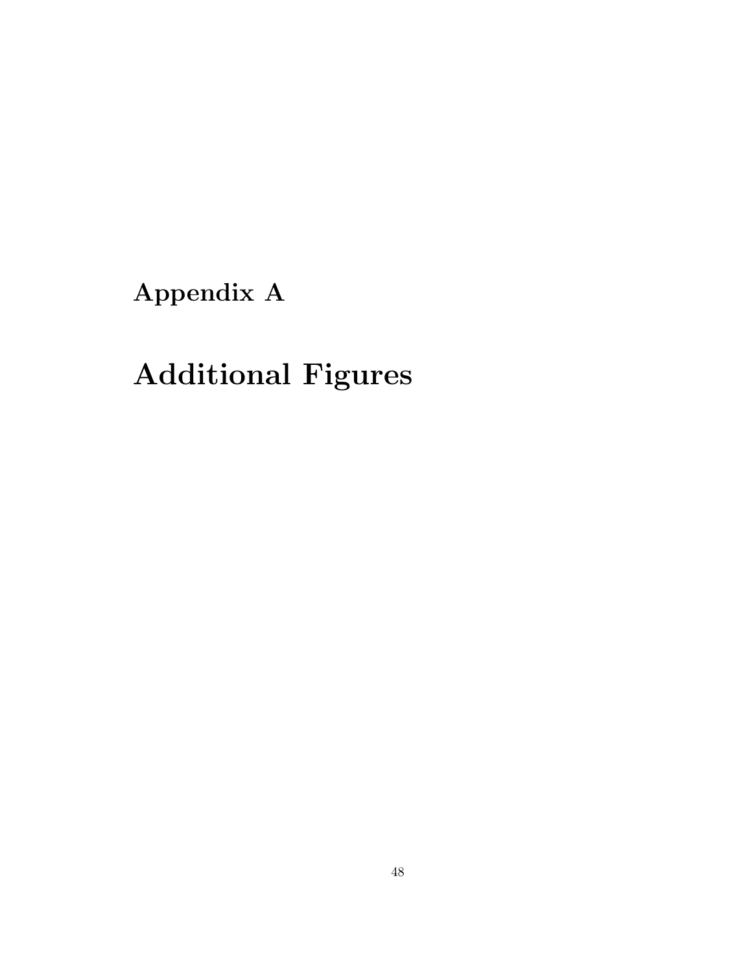Appendix A

# Additional Figures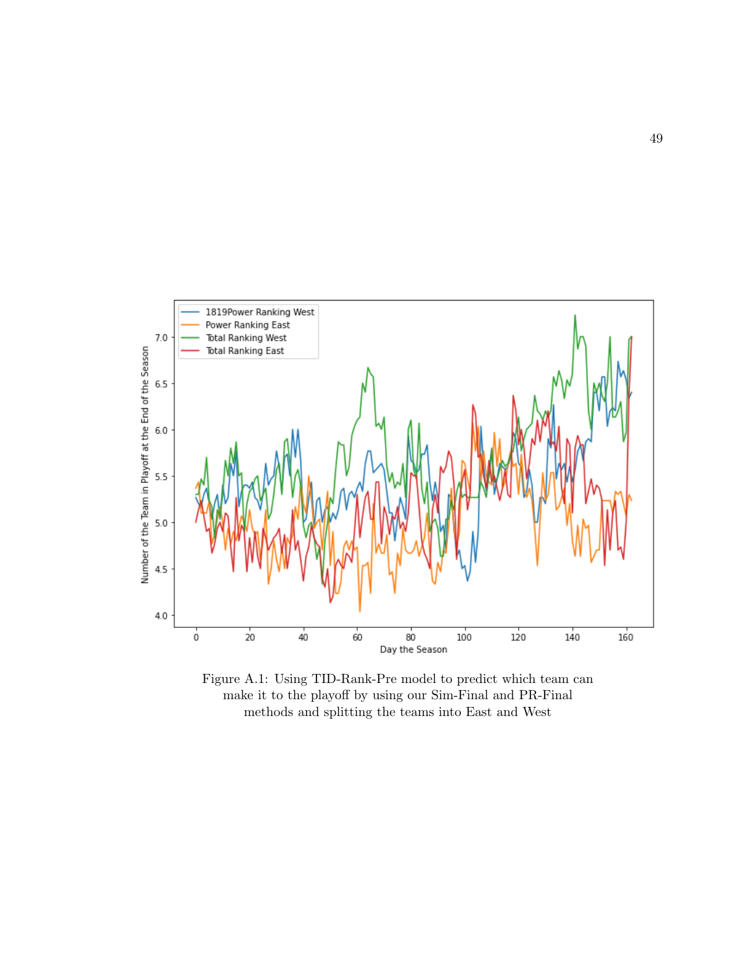

Figure A.1: Using TID-Rank-Pre model to predict which team can make it to the playoff by using our Sim-Final and PR-Final methods and splitting the teams into East and West